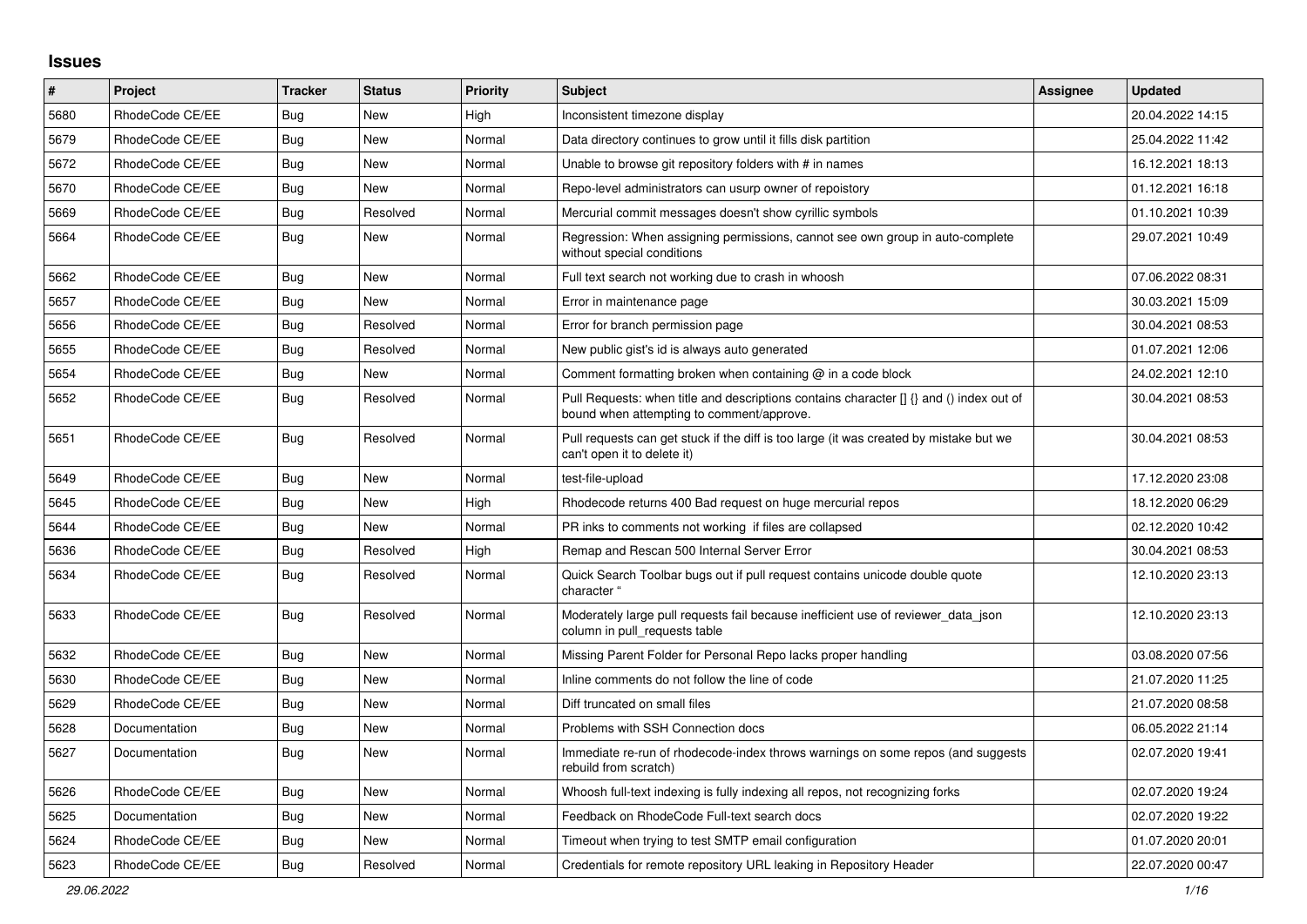## **Issues**

| #    | Project         | <b>Tracker</b> | <b>Status</b> | Priority | <b>Subject</b>                                                                                                                       | Assignee | <b>Updated</b>   |
|------|-----------------|----------------|---------------|----------|--------------------------------------------------------------------------------------------------------------------------------------|----------|------------------|
| 5680 | RhodeCode CE/EE | Bug            | <b>New</b>    | High     | Inconsistent timezone display                                                                                                        |          | 20.04.2022 14:15 |
| 5679 | RhodeCode CE/EE | <b>Bug</b>     | <b>New</b>    | Normal   | Data directory continues to grow until it fills disk partition                                                                       |          | 25.04.2022 11:42 |
| 5672 | RhodeCode CE/EE | <b>Bug</b>     | <b>New</b>    | Normal   | Unable to browse git repository folders with # in names                                                                              |          | 16.12.2021 18:13 |
| 5670 | RhodeCode CE/EE | Bug            | New           | Normal   | Repo-level administrators can usurp owner of repoistory                                                                              |          | 01.12.2021 16:18 |
| 5669 | RhodeCode CE/EE | <b>Bug</b>     | Resolved      | Normal   | Mercurial commit messages doesn't show cyrillic symbols                                                                              |          | 01.10.2021 10:39 |
| 5664 | RhodeCode CE/EE | <b>Bug</b>     | New           | Normal   | Regression: When assigning permissions, cannot see own group in auto-complete<br>without special conditions                          |          | 29.07.2021 10:49 |
| 5662 | RhodeCode CE/EE | Bug            | <b>New</b>    | Normal   | Full text search not working due to crash in whoosh                                                                                  |          | 07.06.2022 08:31 |
| 5657 | RhodeCode CE/EE | <b>Bug</b>     | New           | Normal   | Error in maintenance page                                                                                                            |          | 30.03.2021 15:09 |
| 5656 | RhodeCode CE/EE | <b>Bug</b>     | Resolved      | Normal   | Error for branch permission page                                                                                                     |          | 30.04.2021 08:53 |
| 5655 | RhodeCode CE/EE | <b>Bug</b>     | Resolved      | Normal   | New public gist's id is always auto generated                                                                                        |          | 01.07.2021 12:06 |
| 5654 | RhodeCode CE/EE | <b>Bug</b>     | New           | Normal   | Comment formatting broken when containing $@$ in a code block                                                                        |          | 24.02.2021 12:10 |
| 5652 | RhodeCode CE/EE | Bug            | Resolved      | Normal   | Pull Requests: when title and descriptions contains character [] {} and () index out of<br>bound when attempting to comment/approve. |          | 30.04.2021 08:53 |
| 5651 | RhodeCode CE/EE | Bug            | Resolved      | Normal   | Pull requests can get stuck if the diff is too large (it was created by mistake but we<br>can't open it to delete it)                |          | 30.04.2021 08:53 |
| 5649 | RhodeCode CE/EE | <b>Bug</b>     | New           | Normal   | test-file-upload                                                                                                                     |          | 17.12.2020 23:08 |
| 5645 | RhodeCode CE/EE | <b>Bug</b>     | New           | High     | Rhodecode returns 400 Bad request on huge mercurial repos                                                                            |          | 18.12.2020 06:29 |
| 5644 | RhodeCode CE/EE | Bug            | New           | Normal   | PR inks to comments not working if files are collapsed                                                                               |          | 02.12.2020 10:42 |
| 5636 | RhodeCode CE/EE | <b>Bug</b>     | Resolved      | High     | Remap and Rescan 500 Internal Server Error                                                                                           |          | 30.04.2021 08:53 |
| 5634 | RhodeCode CE/EE | Bug            | Resolved      | Normal   | Quick Search Toolbar bugs out if pull request contains unicode double quote<br>character '                                           |          | 12.10.2020 23:13 |
| 5633 | RhodeCode CE/EE | Bug            | Resolved      | Normal   | Moderately large pull requests fail because inefficient use of reviewer data json<br>column in pull_requests table                   |          | 12.10.2020 23:13 |
| 5632 | RhodeCode CE/EE | Bug            | New           | Normal   | Missing Parent Folder for Personal Repo lacks proper handling                                                                        |          | 03.08.2020 07:56 |
| 5630 | RhodeCode CE/EE | <b>Bug</b>     | New           | Normal   | Inline comments do not follow the line of code                                                                                       |          | 21.07.2020 11:25 |
| 5629 | RhodeCode CE/EE | Bug            | New           | Normal   | Diff truncated on small files                                                                                                        |          | 21.07.2020 08:58 |
| 5628 | Documentation   | Bug            | New           | Normal   | Problems with SSH Connection docs                                                                                                    |          | 06.05.2022 21:14 |
| 5627 | Documentation   | <b>Bug</b>     | <b>New</b>    | Normal   | Immediate re-run of rhodecode-index throws warnings on some repos (and suggests<br>rebuild from scratch)                             |          | 02.07.2020 19:41 |
| 5626 | RhodeCode CE/EE | Bug            | New           | Normal   | Whoosh full-text indexing is fully indexing all repos, not recognizing forks                                                         |          | 02.07.2020 19:24 |
| 5625 | Documentation   | <b>Bug</b>     | New           | Normal   | Feedback on RhodeCode Full-text search docs                                                                                          |          | 02.07.2020 19:22 |
| 5624 | RhodeCode CE/EE | <b>Bug</b>     | New           | Normal   | Timeout when trying to test SMTP email configuration                                                                                 |          | 01.07.2020 20:01 |
| 5623 | RhodeCode CE/EE | Bug            | Resolved      | Normal   | Credentials for remote repository URL leaking in Repository Header                                                                   |          | 22.07.2020 00:47 |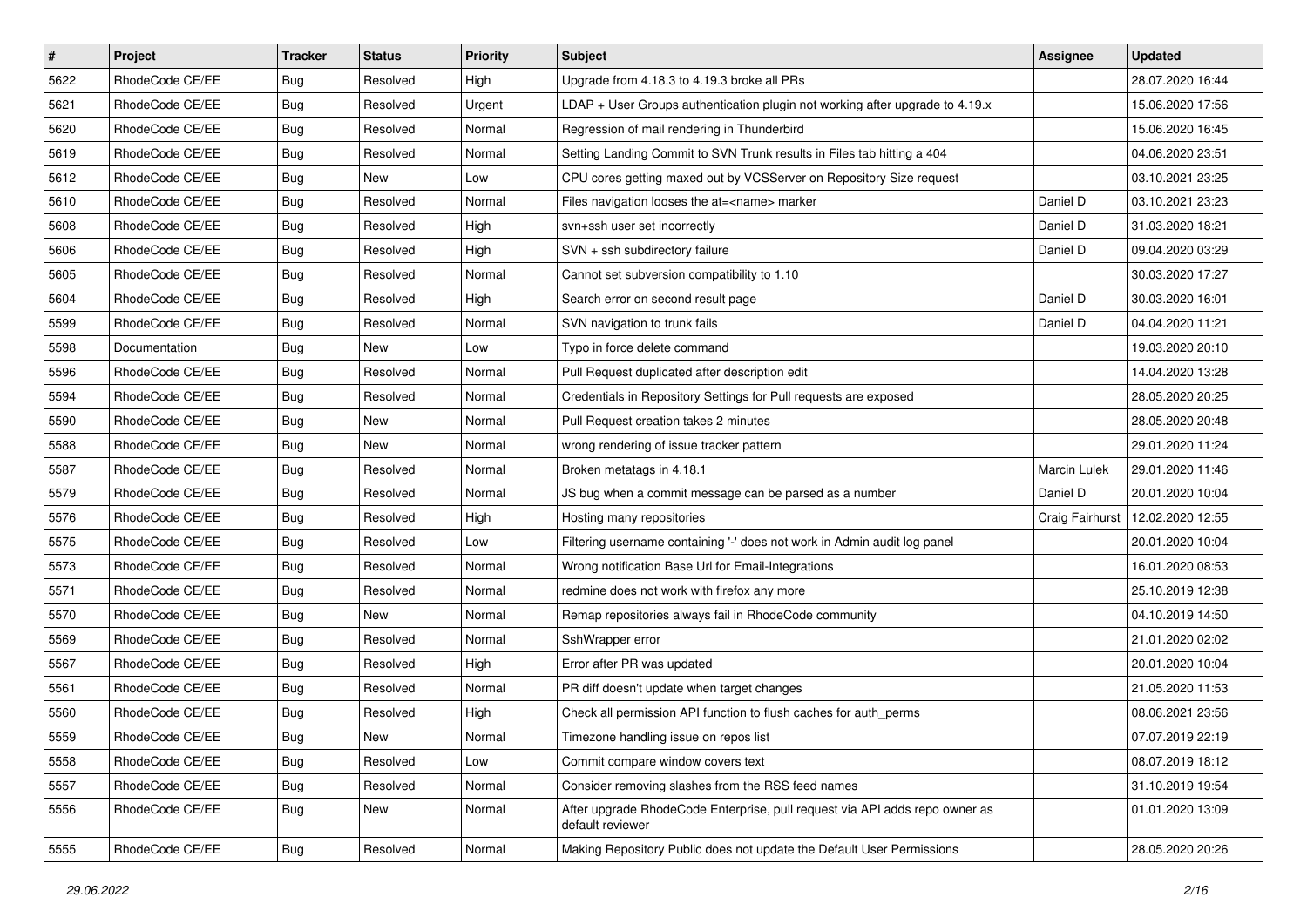| $\pmb{\#}$ | Project         | <b>Tracker</b> | <b>Status</b> | <b>Priority</b> | <b>Subject</b>                                                                                  | <b>Assignee</b>     | <b>Updated</b>   |
|------------|-----------------|----------------|---------------|-----------------|-------------------------------------------------------------------------------------------------|---------------------|------------------|
| 5622       | RhodeCode CE/EE | <b>Bug</b>     | Resolved      | High            | Upgrade from 4.18.3 to 4.19.3 broke all PRs                                                     |                     | 28.07.2020 16:44 |
| 5621       | RhodeCode CE/EE | <b>Bug</b>     | Resolved      | Urgent          | LDAP + User Groups authentication plugin not working after upgrade to 4.19.x                    |                     | 15.06.2020 17:56 |
| 5620       | RhodeCode CE/EE | <b>Bug</b>     | Resolved      | Normal          | Regression of mail rendering in Thunderbird                                                     |                     | 15.06.2020 16:45 |
| 5619       | RhodeCode CE/EE | Bug            | Resolved      | Normal          | Setting Landing Commit to SVN Trunk results in Files tab hitting a 404                          |                     | 04.06.2020 23:51 |
| 5612       | RhodeCode CE/EE | Bug            | <b>New</b>    | Low             | CPU cores getting maxed out by VCSServer on Repository Size request                             |                     | 03.10.2021 23:25 |
| 5610       | RhodeCode CE/EE | Bug            | Resolved      | Normal          | Files navigation looses the at= <name> marker</name>                                            | Daniel D            | 03.10.2021 23:23 |
| 5608       | RhodeCode CE/EE | Bug            | Resolved      | High            | svn+ssh user set incorrectly                                                                    | Daniel D            | 31.03.2020 18:21 |
| 5606       | RhodeCode CE/EE | Bug            | Resolved      | High            | SVN + ssh subdirectory failure                                                                  | Daniel D            | 09.04.2020 03:29 |
| 5605       | RhodeCode CE/EE | <b>Bug</b>     | Resolved      | Normal          | Cannot set subversion compatibility to 1.10                                                     |                     | 30.03.2020 17:27 |
| 5604       | RhodeCode CE/EE | Bug            | Resolved      | High            | Search error on second result page                                                              | Daniel D            | 30.03.2020 16:01 |
| 5599       | RhodeCode CE/EE | Bug            | Resolved      | Normal          | SVN navigation to trunk fails                                                                   | Daniel D            | 04.04.2020 11:21 |
| 5598       | Documentation   | Bug            | New           | Low             | Typo in force delete command                                                                    |                     | 19.03.2020 20:10 |
| 5596       | RhodeCode CE/EE | <b>Bug</b>     | Resolved      | Normal          | Pull Request duplicated after description edit                                                  |                     | 14.04.2020 13:28 |
| 5594       | RhodeCode CE/EE | <b>Bug</b>     | Resolved      | Normal          | Credentials in Repository Settings for Pull requests are exposed                                |                     | 28.05.2020 20:25 |
| 5590       | RhodeCode CE/EE | <b>Bug</b>     | New           | Normal          | Pull Request creation takes 2 minutes                                                           |                     | 28.05.2020 20:48 |
| 5588       | RhodeCode CE/EE | Bug            | New           | Normal          | wrong rendering of issue tracker pattern                                                        |                     | 29.01.2020 11:24 |
| 5587       | RhodeCode CE/EE | <b>Bug</b>     | Resolved      | Normal          | Broken metatags in 4.18.1                                                                       | <b>Marcin Lulek</b> | 29.01.2020 11:46 |
| 5579       | RhodeCode CE/EE | Bug            | Resolved      | Normal          | JS bug when a commit message can be parsed as a number                                          | Daniel D            | 20.01.2020 10:04 |
| 5576       | RhodeCode CE/EE | <b>Bug</b>     | Resolved      | High            | Hosting many repositories                                                                       | Craig Fairhurst     | 12.02.2020 12:55 |
| 5575       | RhodeCode CE/EE | <b>Bug</b>     | Resolved      | Low             | Filtering username containing '-' does not work in Admin audit log panel                        |                     | 20.01.2020 10:04 |
| 5573       | RhodeCode CE/EE | Bug            | Resolved      | Normal          | Wrong notification Base Url for Email-Integrations                                              |                     | 16.01.2020 08:53 |
| 5571       | RhodeCode CE/EE | <b>Bug</b>     | Resolved      | Normal          | redmine does not work with firefox any more                                                     |                     | 25.10.2019 12:38 |
| 5570       | RhodeCode CE/EE | Bug            | <b>New</b>    | Normal          | Remap repositories always fail in RhodeCode community                                           |                     | 04.10.2019 14:50 |
| 5569       | RhodeCode CE/EE | Bug            | Resolved      | Normal          | SshWrapper error                                                                                |                     | 21.01.2020 02:02 |
| 5567       | RhodeCode CE/EE | <b>Bug</b>     | Resolved      | High            | Error after PR was updated                                                                      |                     | 20.01.2020 10:04 |
| 5561       | RhodeCode CE/EE | Bug            | Resolved      | Normal          | PR diff doesn't update when target changes                                                      |                     | 21.05.2020 11:53 |
| 5560       | RhodeCode CE/EE | <b>Bug</b>     | Resolved      | High            | Check all permission API function to flush caches for auth perms                                |                     | 08.06.2021 23:56 |
| 5559       | RhodeCode CE/EE | <b>Bug</b>     | New           | Normal          | Timezone handling issue on repos list                                                           |                     | 07.07.2019 22:19 |
| 5558       | RhodeCode CE/EE | Bug            | Resolved      | Low             | Commit compare window covers text                                                               |                     | 08.07.2019 18:12 |
| 5557       | RhodeCode CE/EE | <b>Bug</b>     | Resolved      | Normal          | Consider removing slashes from the RSS feed names                                               |                     | 31.10.2019 19:54 |
| 5556       | RhodeCode CE/EE | Bug            | New           | Normal          | After upgrade RhodeCode Enterprise, pull request via API adds repo owner as<br>default reviewer |                     | 01.01.2020 13:09 |
| 5555       | RhodeCode CE/EE | <b>Bug</b>     | Resolved      | Normal          | Making Repository Public does not update the Default User Permissions                           |                     | 28.05.2020 20:26 |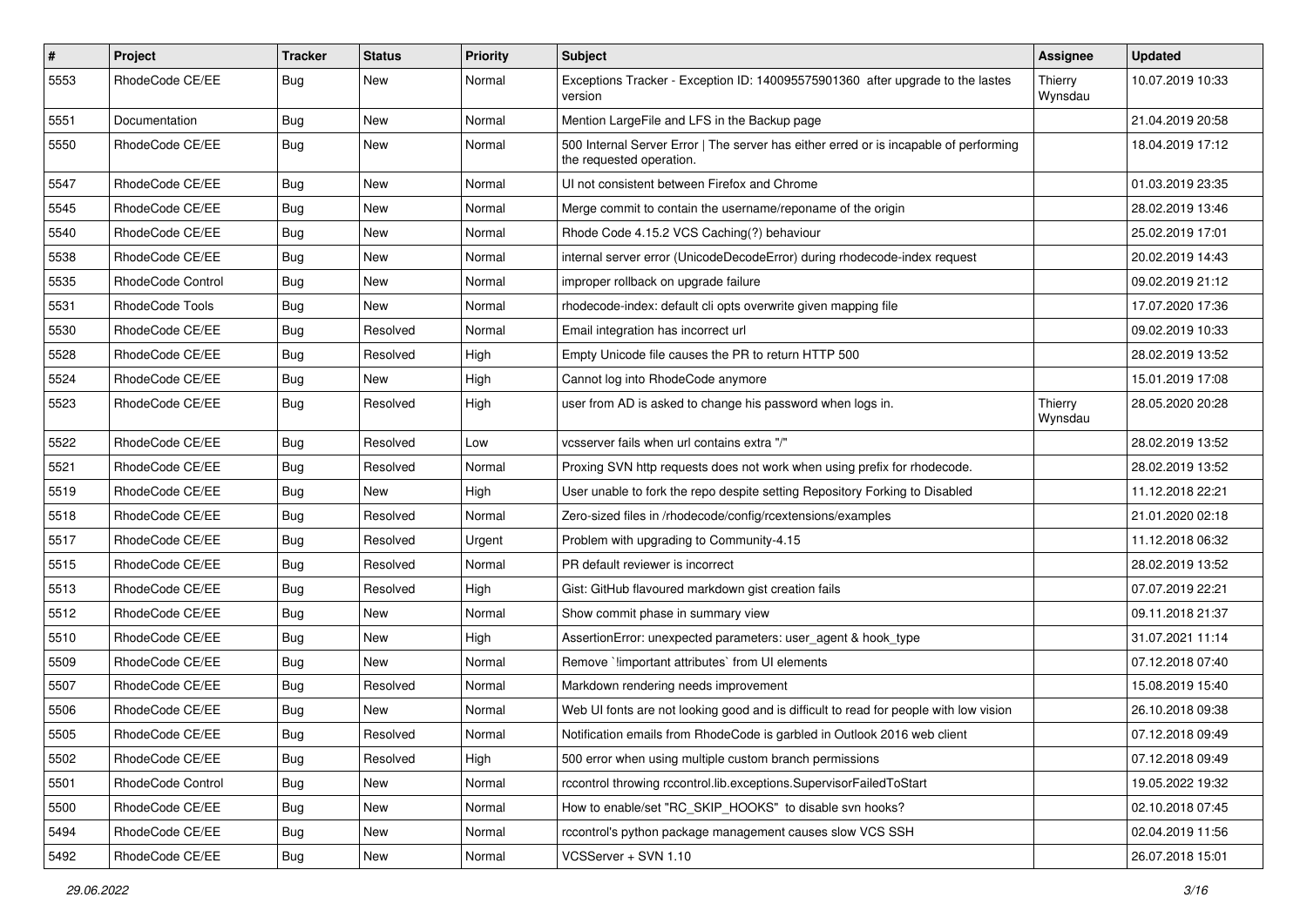| $\pmb{\#}$ | <b>Project</b>    | <b>Tracker</b> | <b>Status</b> | <b>Priority</b> | <b>Subject</b>                                                                                                    | Assignee           | <b>Updated</b>   |
|------------|-------------------|----------------|---------------|-----------------|-------------------------------------------------------------------------------------------------------------------|--------------------|------------------|
| 5553       | RhodeCode CE/EE   | Bug            | New           | Normal          | Exceptions Tracker - Exception ID: 140095575901360 after upgrade to the lastes<br>version                         | Thierry<br>Wynsdau | 10.07.2019 10:33 |
| 5551       | Documentation     | Bug            | New           | Normal          | Mention LargeFile and LFS in the Backup page                                                                      |                    | 21.04.2019 20:58 |
| 5550       | RhodeCode CE/EE   | Bug            | New           | Normal          | 500 Internal Server Error   The server has either erred or is incapable of performing<br>the requested operation. |                    | 18.04.2019 17:12 |
| 5547       | RhodeCode CE/EE   | Bug            | <b>New</b>    | Normal          | UI not consistent between Firefox and Chrome                                                                      |                    | 01.03.2019 23:35 |
| 5545       | RhodeCode CE/EE   | Bug            | New           | Normal          | Merge commit to contain the username/reponame of the origin                                                       |                    | 28.02.2019 13:46 |
| 5540       | RhodeCode CE/EE   | <b>Bug</b>     | <b>New</b>    | Normal          | Rhode Code 4.15.2 VCS Caching(?) behaviour                                                                        |                    | 25.02.2019 17:01 |
| 5538       | RhodeCode CE/EE   | Bug            | New           | Normal          | internal server error (UnicodeDecodeError) during rhodecode-index request                                         |                    | 20.02.2019 14:43 |
| 5535       | RhodeCode Control | Bug            | <b>New</b>    | Normal          | improper rollback on upgrade failure                                                                              |                    | 09.02.2019 21:12 |
| 5531       | RhodeCode Tools   | <b>Bug</b>     | New           | Normal          | rhodecode-index: default cli opts overwrite given mapping file                                                    |                    | 17.07.2020 17:36 |
| 5530       | RhodeCode CE/EE   | Bug            | Resolved      | Normal          | Email integration has incorrect url                                                                               |                    | 09.02.2019 10:33 |
| 5528       | RhodeCode CE/EE   | Bug            | Resolved      | High            | Empty Unicode file causes the PR to return HTTP 500                                                               |                    | 28.02.2019 13:52 |
| 5524       | RhodeCode CE/EE   | <b>Bug</b>     | New           | High            | Cannot log into RhodeCode anymore                                                                                 |                    | 15.01.2019 17:08 |
| 5523       | RhodeCode CE/EE   | Bug            | Resolved      | High            | user from AD is asked to change his password when logs in.                                                        | Thierry<br>Wynsdau | 28.05.2020 20:28 |
| 5522       | RhodeCode CE/EE   | Bug            | Resolved      | Low             | vcsserver fails when url contains extra "/"                                                                       |                    | 28.02.2019 13:52 |
| 5521       | RhodeCode CE/EE   | Bug            | Resolved      | Normal          | Proxing SVN http requests does not work when using prefix for rhodecode.                                          |                    | 28.02.2019 13:52 |
| 5519       | RhodeCode CE/EE   | <b>Bug</b>     | <b>New</b>    | High            | User unable to fork the repo despite setting Repository Forking to Disabled                                       |                    | 11.12.2018 22:21 |
| 5518       | RhodeCode CE/EE   | Bug            | Resolved      | Normal          | Zero-sized files in /rhodecode/config/rcextensions/examples                                                       |                    | 21.01.2020 02:18 |
| 5517       | RhodeCode CE/EE   | Bug            | Resolved      | Urgent          | Problem with upgrading to Community-4.15                                                                          |                    | 11.12.2018 06:32 |
| 5515       | RhodeCode CE/EE   | <b>Bug</b>     | Resolved      | Normal          | PR default reviewer is incorrect                                                                                  |                    | 28.02.2019 13:52 |
| 5513       | RhodeCode CE/EE   | <b>Bug</b>     | Resolved      | High            | Gist: GitHub flavoured markdown gist creation fails                                                               |                    | 07.07.2019 22:21 |
| 5512       | RhodeCode CE/EE   | Bug            | New           | Normal          | Show commit phase in summary view                                                                                 |                    | 09.11.2018 21:37 |
| 5510       | RhodeCode CE/EE   | Bug            | New           | High            | AssertionError: unexpected parameters: user_agent & hook_type                                                     |                    | 31.07.2021 11:14 |
| 5509       | RhodeCode CE/EE   | Bug            | New           | Normal          | Remove `limportant attributes` from UI elements                                                                   |                    | 07.12.2018 07:40 |
| 5507       | RhodeCode CE/EE   | <b>Bug</b>     | Resolved      | Normal          | Markdown rendering needs improvement                                                                              |                    | 15.08.2019 15:40 |
| 5506       | RhodeCode CE/EE   | <b>Bug</b>     | New           | Normal          | Web UI fonts are not looking good and is difficult to read for people with low vision                             |                    | 26.10.2018 09:38 |
| 5505       | RhodeCode CE/EE   | Bug            | Resolved      | Normal          | Notification emails from RhodeCode is garbled in Outlook 2016 web client                                          |                    | 07.12.2018 09:49 |
| 5502       | RhodeCode CE/EE   | Bug            | Resolved      | High            | 500 error when using multiple custom branch permissions                                                           |                    | 07.12.2018 09:49 |
| 5501       | RhodeCode Control | <b>Bug</b>     | New           | Normal          | rccontrol throwing rccontrol.lib.exceptions.SupervisorFailedToStart                                               |                    | 19.05.2022 19:32 |
| 5500       | RhodeCode CE/EE   | Bug            | New           | Normal          | How to enable/set "RC_SKIP_HOOKS" to disable svn hooks?                                                           |                    | 02.10.2018 07:45 |
| 5494       | RhodeCode CE/EE   | Bug            | New           | Normal          | rccontrol's python package management causes slow VCS SSH                                                         |                    | 02.04.2019 11:56 |
| 5492       | RhodeCode CE/EE   | Bug            | New           | Normal          | VCSServer + SVN 1.10                                                                                              |                    | 26.07.2018 15:01 |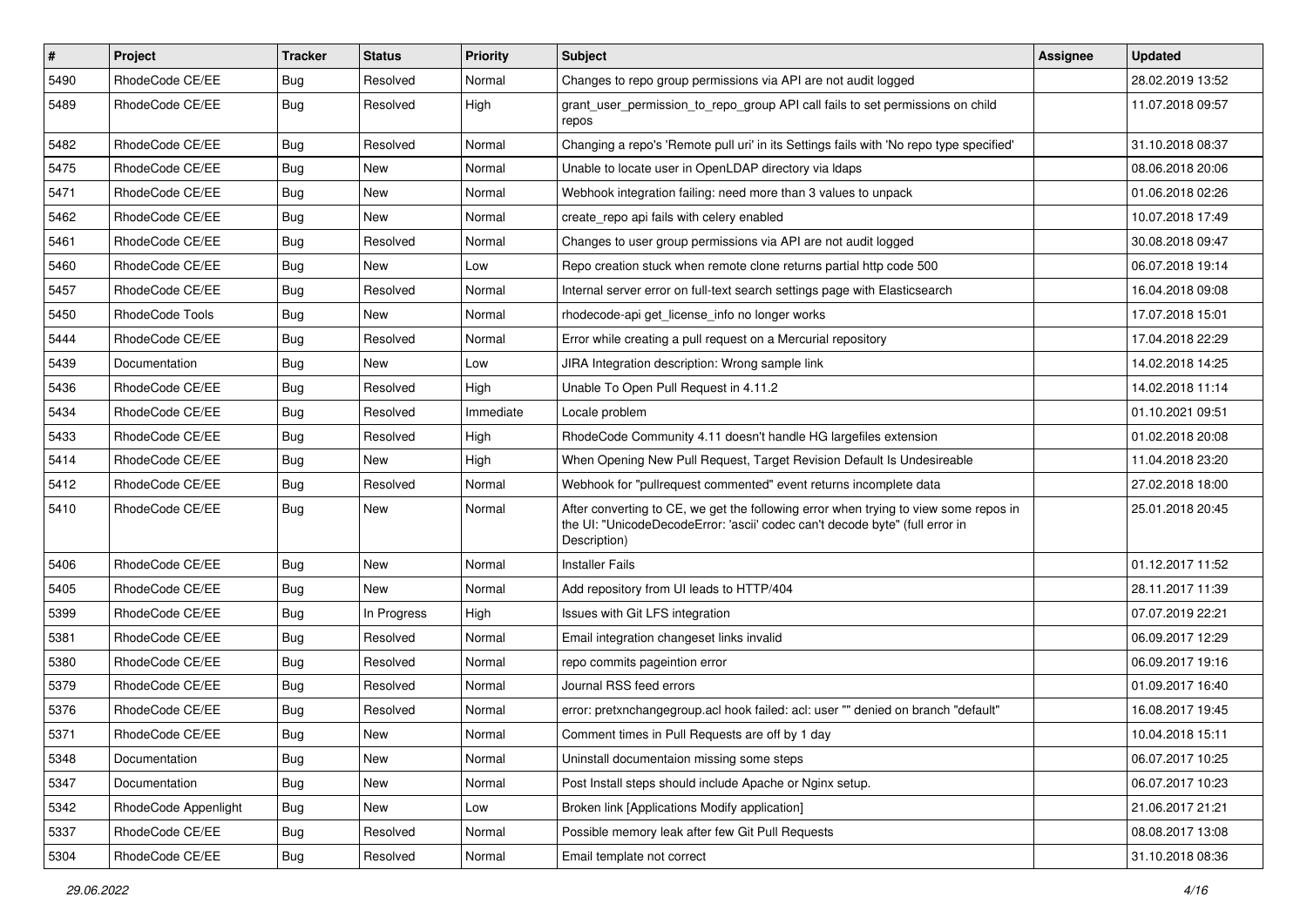| $\vert$ # | Project              | <b>Tracker</b> | <b>Status</b> | Priority  | <b>Subject</b>                                                                                                                                                                       | <b>Assignee</b> | <b>Updated</b>   |
|-----------|----------------------|----------------|---------------|-----------|--------------------------------------------------------------------------------------------------------------------------------------------------------------------------------------|-----------------|------------------|
| 5490      | RhodeCode CE/EE      | Bug            | Resolved      | Normal    | Changes to repo group permissions via API are not audit logged                                                                                                                       |                 | 28.02.2019 13:52 |
| 5489      | RhodeCode CE/EE      | Bug            | Resolved      | High      | grant_user_permission_to_repo_group API call fails to set permissions on child<br>repos                                                                                              |                 | 11.07.2018 09:57 |
| 5482      | RhodeCode CE/EE      | Bug            | Resolved      | Normal    | Changing a repo's 'Remote pull uri' in its Settings fails with 'No repo type specified'                                                                                              |                 | 31.10.2018 08:37 |
| 5475      | RhodeCode CE/EE      | Bug            | New           | Normal    | Unable to locate user in OpenLDAP directory via Idaps                                                                                                                                |                 | 08.06.2018 20:06 |
| 5471      | RhodeCode CE/EE      | Bug            | New           | Normal    | Webhook integration failing: need more than 3 values to unpack                                                                                                                       |                 | 01.06.2018 02:26 |
| 5462      | RhodeCode CE/EE      | Bug            | New           | Normal    | create repo api fails with celery enabled                                                                                                                                            |                 | 10.07.2018 17:49 |
| 5461      | RhodeCode CE/EE      | Bug            | Resolved      | Normal    | Changes to user group permissions via API are not audit logged                                                                                                                       |                 | 30.08.2018 09:47 |
| 5460      | RhodeCode CE/EE      | <b>Bug</b>     | New           | Low       | Repo creation stuck when remote clone returns partial http code 500                                                                                                                  |                 | 06.07.2018 19:14 |
| 5457      | RhodeCode CE/EE      | Bug            | Resolved      | Normal    | Internal server error on full-text search settings page with Elasticsearch                                                                                                           |                 | 16.04.2018 09:08 |
| 5450      | RhodeCode Tools      | <b>Bug</b>     | New           | Normal    | rhodecode-api get license info no longer works                                                                                                                                       |                 | 17.07.2018 15:01 |
| 5444      | RhodeCode CE/EE      | <b>Bug</b>     | Resolved      | Normal    | Error while creating a pull request on a Mercurial repository                                                                                                                        |                 | 17.04.2018 22:29 |
| 5439      | Documentation        | Bug            | <b>New</b>    | Low       | JIRA Integration description: Wrong sample link                                                                                                                                      |                 | 14.02.2018 14:25 |
| 5436      | RhodeCode CE/EE      | Bug            | Resolved      | High      | Unable To Open Pull Request in 4.11.2                                                                                                                                                |                 | 14.02.2018 11:14 |
| 5434      | RhodeCode CE/EE      | Bug            | Resolved      | Immediate | Locale problem                                                                                                                                                                       |                 | 01.10.2021 09:51 |
| 5433      | RhodeCode CE/EE      | Bug            | Resolved      | High      | RhodeCode Community 4.11 doesn't handle HG largefiles extension                                                                                                                      |                 | 01.02.2018 20:08 |
| 5414      | RhodeCode CE/EE      | Bug            | New           | High      | When Opening New Pull Request, Target Revision Default Is Undesireable                                                                                                               |                 | 11.04.2018 23:20 |
| 5412      | RhodeCode CE/EE      | Bug            | Resolved      | Normal    | Webhook for "pullrequest commented" event returns incomplete data                                                                                                                    |                 | 27.02.2018 18:00 |
| 5410      | RhodeCode CE/EE      | Bug            | New           | Normal    | After converting to CE, we get the following error when trying to view some repos in<br>the UI: "UnicodeDecodeError: 'ascii' codec can't decode byte" (full error in<br>Description) |                 | 25.01.2018 20:45 |
| 5406      | RhodeCode CE/EE      | Bug            | New           | Normal    | <b>Installer Fails</b>                                                                                                                                                               |                 | 01.12.2017 11:52 |
| 5405      | RhodeCode CE/EE      | Bug            | New           | Normal    | Add repository from UI leads to HTTP/404                                                                                                                                             |                 | 28.11.2017 11:39 |
| 5399      | RhodeCode CE/EE      | <b>Bug</b>     | In Progress   | High      | Issues with Git LFS integration                                                                                                                                                      |                 | 07.07.2019 22:21 |
| 5381      | RhodeCode CE/EE      | Bug            | Resolved      | Normal    | Email integration changeset links invalid                                                                                                                                            |                 | 06.09.2017 12:29 |
| 5380      | RhodeCode CE/EE      | Bug            | Resolved      | Normal    | repo commits pageintion error                                                                                                                                                        |                 | 06.09.2017 19:16 |
| 5379      | RhodeCode CE/EE      | Bug            | Resolved      | Normal    | Journal RSS feed errors                                                                                                                                                              |                 | 01.09.2017 16:40 |
| 5376      | RhodeCode CE/EE      | Bug            | Resolved      | Normal    | error: pretxnchangegroup.acl hook failed: acl: user "" denied on branch "default"                                                                                                    |                 | 16.08.2017 19:45 |
| 5371      | RhodeCode CE/EE      | Bug            | New           | Normal    | Comment times in Pull Requests are off by 1 day                                                                                                                                      |                 | 10.04.2018 15:11 |
| 5348      | Documentation        | Bug            | New           | Normal    | Uninstall documentaion missing some steps                                                                                                                                            |                 | 06.07.2017 10:25 |
| 5347      | Documentation        | Bug            | New           | Normal    | Post Install steps should include Apache or Nginx setup.                                                                                                                             |                 | 06.07.2017 10:23 |
| 5342      | RhodeCode Appenlight | Bug            | New           | Low       | Broken link [Applications Modify application]                                                                                                                                        |                 | 21.06.2017 21:21 |
| 5337      | RhodeCode CE/EE      | Bug            | Resolved      | Normal    | Possible memory leak after few Git Pull Requests                                                                                                                                     |                 | 08.08.2017 13:08 |
| 5304      | RhodeCode CE/EE      | <b>Bug</b>     | Resolved      | Normal    | Email template not correct                                                                                                                                                           |                 | 31.10.2018 08:36 |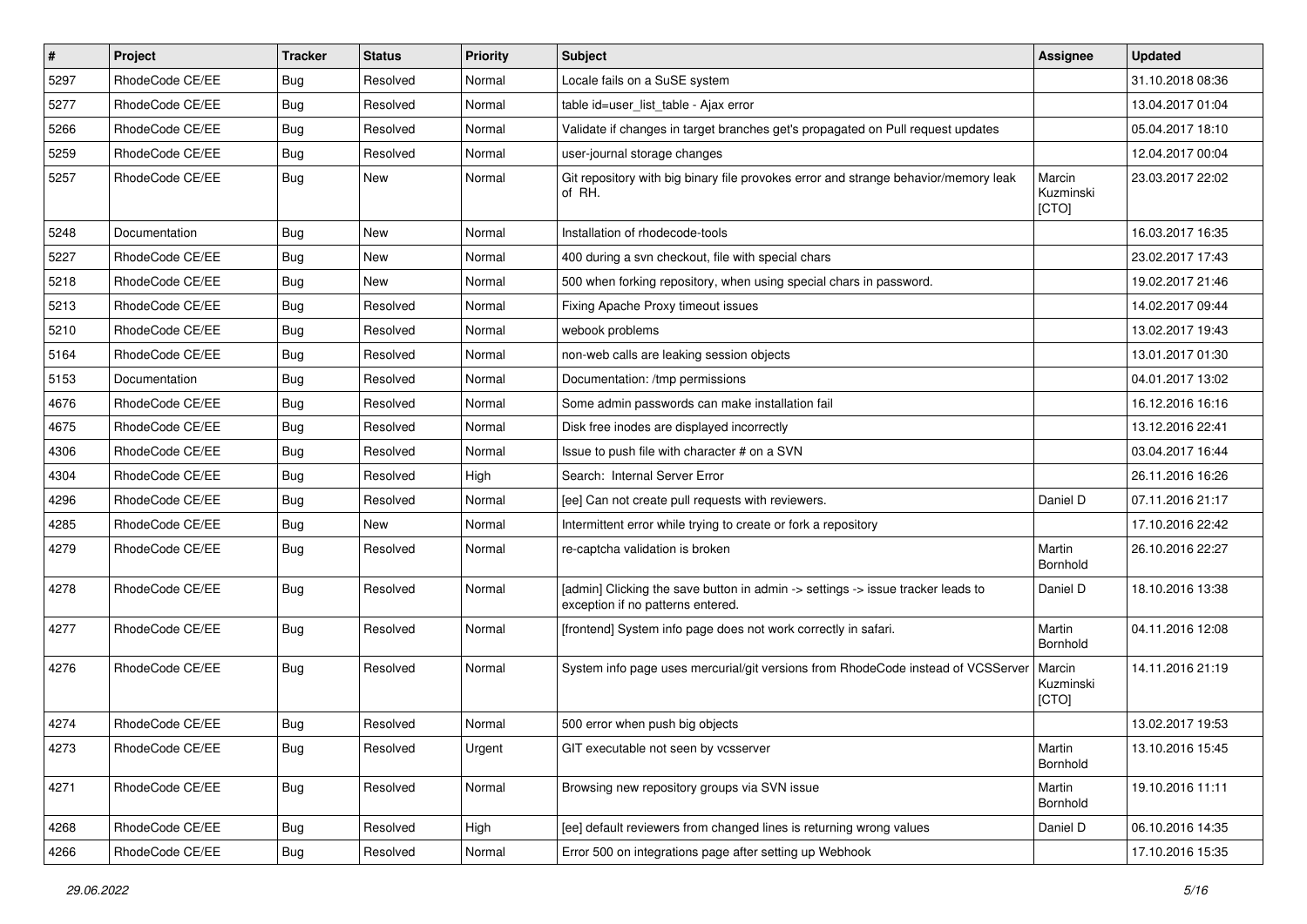| #    | Project         | <b>Tracker</b> | <b>Status</b> | <b>Priority</b> | <b>Subject</b>                                                                                                       | <b>Assignee</b>              | <b>Updated</b>   |
|------|-----------------|----------------|---------------|-----------------|----------------------------------------------------------------------------------------------------------------------|------------------------------|------------------|
| 5297 | RhodeCode CE/EE | Bug            | Resolved      | Normal          | Locale fails on a SuSE system                                                                                        |                              | 31.10.2018 08:36 |
| 5277 | RhodeCode CE/EE | Bug            | Resolved      | Normal          | table id=user_list_table - Ajax error                                                                                |                              | 13.04.2017 01:04 |
| 5266 | RhodeCode CE/EE | Bug            | Resolved      | Normal          | Validate if changes in target branches get's propagated on Pull request updates                                      |                              | 05.04.2017 18:10 |
| 5259 | RhodeCode CE/EE | Bug            | Resolved      | Normal          | user-journal storage changes                                                                                         |                              | 12.04.2017 00:04 |
| 5257 | RhodeCode CE/EE | <b>Bug</b>     | <b>New</b>    | Normal          | Git repository with big binary file provokes error and strange behavior/memory leak<br>of RH.                        | Marcin<br>Kuzminski<br>[CTO] | 23.03.2017 22:02 |
| 5248 | Documentation   | Bug            | <b>New</b>    | Normal          | Installation of rhodecode-tools                                                                                      |                              | 16.03.2017 16:35 |
| 5227 | RhodeCode CE/EE | <b>Bug</b>     | New           | Normal          | 400 during a svn checkout, file with special chars                                                                   |                              | 23.02.2017 17:43 |
| 5218 | RhodeCode CE/EE | Bug            | <b>New</b>    | Normal          | 500 when forking repository, when using special chars in password.                                                   |                              | 19.02.2017 21:46 |
| 5213 | RhodeCode CE/EE | Bug            | Resolved      | Normal          | Fixing Apache Proxy timeout issues                                                                                   |                              | 14.02.2017 09:44 |
| 5210 | RhodeCode CE/EE | Bug            | Resolved      | Normal          | webook problems                                                                                                      |                              | 13.02.2017 19:43 |
| 5164 | RhodeCode CE/EE | Bug            | Resolved      | Normal          | non-web calls are leaking session objects                                                                            |                              | 13.01.2017 01:30 |
| 5153 | Documentation   | Bug            | Resolved      | Normal          | Documentation: /tmp permissions                                                                                      |                              | 04.01.2017 13:02 |
| 4676 | RhodeCode CE/EE | Bug            | Resolved      | Normal          | Some admin passwords can make installation fail                                                                      |                              | 16.12.2016 16:16 |
| 4675 | RhodeCode CE/EE | Bug            | Resolved      | Normal          | Disk free inodes are displayed incorrectly                                                                           |                              | 13.12.2016 22:41 |
| 4306 | RhodeCode CE/EE | Bug            | Resolved      | Normal          | Issue to push file with character # on a SVN                                                                         |                              | 03.04.2017 16:44 |
| 4304 | RhodeCode CE/EE | Bug            | Resolved      | High            | Search: Internal Server Error                                                                                        |                              | 26.11.2016 16:26 |
| 4296 | RhodeCode CE/EE | Bug            | Resolved      | Normal          | [ee] Can not create pull requests with reviewers.                                                                    | Daniel D                     | 07.11.2016 21:17 |
| 4285 | RhodeCode CE/EE | Bug            | <b>New</b>    | Normal          | Intermittent error while trying to create or fork a repository                                                       |                              | 17.10.2016 22:42 |
| 4279 | RhodeCode CE/EE | Bug            | Resolved      | Normal          | re-captcha validation is broken                                                                                      | Martin<br>Bornhold           | 26.10.2016 22:27 |
| 4278 | RhodeCode CE/EE | Bug            | Resolved      | Normal          | [admin] Clicking the save button in admin -> settings -> issue tracker leads to<br>exception if no patterns entered. | Daniel D                     | 18.10.2016 13:38 |
| 4277 | RhodeCode CE/EE | Bug            | Resolved      | Normal          | [frontend] System info page does not work correctly in safari.                                                       | Martin<br>Bornhold           | 04.11.2016 12:08 |
| 4276 | RhodeCode CE/EE | Bug            | Resolved      | Normal          | System info page uses mercurial/git versions from RhodeCode instead of VCSServer                                     | Marcin<br>Kuzminski<br>[CTO] | 14.11.2016 21:19 |
| 4274 | RhodeCode CE/EE | Bug            | Resolved      | Normal          | 500 error when push big objects                                                                                      |                              | 13.02.2017 19:53 |
| 4273 | RhodeCode CE/EE | <b>Bug</b>     | Resolved      | Urgent          | GIT executable not seen by vcsserver                                                                                 | Martin<br>Bornhold           | 13.10.2016 15:45 |
| 4271 | RhodeCode CE/EE | Bug            | Resolved      | Normal          | Browsing new repository groups via SVN issue                                                                         | Martin<br>Bornhold           | 19.10.2016 11:11 |
| 4268 | RhodeCode CE/EE | <b>Bug</b>     | Resolved      | High            | [ee] default reviewers from changed lines is returning wrong values                                                  | Daniel D                     | 06.10.2016 14:35 |
| 4266 | RhodeCode CE/EE | Bug            | Resolved      | Normal          | Error 500 on integrations page after setting up Webhook                                                              |                              | 17.10.2016 15:35 |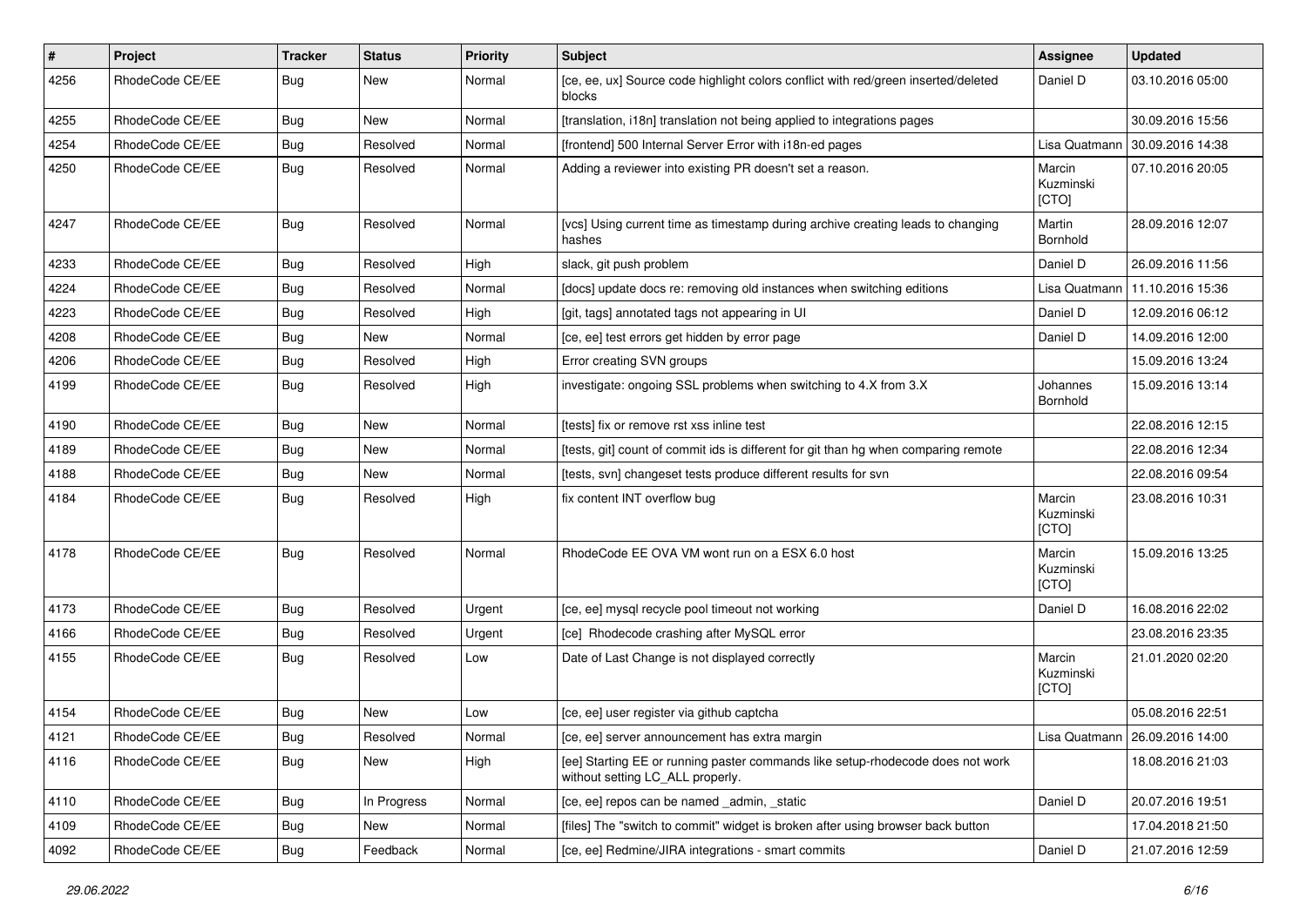| #    | Project         | <b>Tracker</b> | <b>Status</b> | <b>Priority</b> | Subject                                                                                                            | <b>Assignee</b>              | <b>Updated</b>                   |
|------|-----------------|----------------|---------------|-----------------|--------------------------------------------------------------------------------------------------------------------|------------------------------|----------------------------------|
| 4256 | RhodeCode CE/EE | Bug            | New           | Normal          | [ce, ee, ux] Source code highlight colors conflict with red/green inserted/deleted<br>blocks                       | Daniel D                     | 03.10.2016 05:00                 |
| 4255 | RhodeCode CE/EE | Bug            | New           | Normal          | [translation, i18n] translation not being applied to integrations pages                                            |                              | 30.09.2016 15:56                 |
| 4254 | RhodeCode CE/EE | Bug            | Resolved      | Normal          | [frontend] 500 Internal Server Error with i18n-ed pages                                                            | Lisa Quatmann                | 30.09.2016 14:38                 |
| 4250 | RhodeCode CE/EE | <b>Bug</b>     | Resolved      | Normal          | Adding a reviewer into existing PR doesn't set a reason.                                                           | Marcin<br>Kuzminski<br>[CTO] | 07.10.2016 20:05                 |
| 4247 | RhodeCode CE/EE | Bug            | Resolved      | Normal          | [vcs] Using current time as timestamp during archive creating leads to changing<br>hashes                          | Martin<br>Bornhold           | 28.09.2016 12:07                 |
| 4233 | RhodeCode CE/EE | Bug            | Resolved      | High            | slack, git push problem                                                                                            | Daniel D                     | 26.09.2016 11:56                 |
| 4224 | RhodeCode CE/EE | Bug            | Resolved      | Normal          | [docs] update docs re: removing old instances when switching editions                                              | Lisa Quatmann                | 11.10.2016 15:36                 |
| 4223 | RhodeCode CE/EE | Bug            | Resolved      | High            | [git, tags] annotated tags not appearing in UI                                                                     | Daniel D                     | 12.09.2016 06:12                 |
| 4208 | RhodeCode CE/EE | Bug            | <b>New</b>    | Normal          | [ce, ee] test errors get hidden by error page                                                                      | Daniel D                     | 14.09.2016 12:00                 |
| 4206 | RhodeCode CE/EE | Bug            | Resolved      | High            | Error creating SVN groups                                                                                          |                              | 15.09.2016 13:24                 |
| 4199 | RhodeCode CE/EE | Bug            | Resolved      | High            | investigate: ongoing SSL problems when switching to 4.X from 3.X                                                   | Johannes<br>Bornhold         | 15.09.2016 13:14                 |
| 4190 | RhodeCode CE/EE | Bug            | New           | Normal          | [tests] fix or remove rst xss inline test                                                                          |                              | 22.08.2016 12:15                 |
| 4189 | RhodeCode CE/EE | Bug            | New           | Normal          | [tests, git] count of commit ids is different for git than hg when comparing remote                                |                              | 22.08.2016 12:34                 |
| 4188 | RhodeCode CE/EE | Bug            | New           | Normal          | [tests, svn] changeset tests produce different results for svn                                                     |                              | 22.08.2016 09:54                 |
| 4184 | RhodeCode CE/EE | Bug            | Resolved      | High            | fix content INT overflow bug                                                                                       | Marcin<br>Kuzminski<br>[CTO] | 23.08.2016 10:31                 |
| 4178 | RhodeCode CE/EE | Bug            | Resolved      | Normal          | RhodeCode EE OVA VM wont run on a ESX 6.0 host                                                                     | Marcin<br>Kuzminski<br>[CTO] | 15.09.2016 13:25                 |
| 4173 | RhodeCode CE/EE | Bug            | Resolved      | Urgent          | [ce, ee] mysql recycle pool timeout not working                                                                    | Daniel D                     | 16.08.2016 22:02                 |
| 4166 | RhodeCode CE/EE | Bug            | Resolved      | Urgent          | [ce] Rhodecode crashing after MySQL error                                                                          |                              | 23.08.2016 23:35                 |
| 4155 | RhodeCode CE/EE | Bug            | Resolved      | Low             | Date of Last Change is not displayed correctly                                                                     | Marcin<br>Kuzminski<br>[CTO] | 21.01.2020 02:20                 |
| 4154 | RhodeCode CE/EE | Bug            | New           | Low             | [ce, ee] user register via github captcha                                                                          |                              | 05.08.2016 22:51                 |
| 4121 | RhodeCode CE/EE | Bug            | Resolved      | Normal          | [ce, ee] server announcement has extra margin                                                                      |                              | Lisa Quatmann   26.09.2016 14:00 |
| 4116 | RhodeCode CE/EE | <b>Bug</b>     | New           | High            | [ee] Starting EE or running paster commands like setup-rhodecode does not work<br>without setting LC_ALL properly. |                              | 18.08.2016 21:03                 |
| 4110 | RhodeCode CE/EE | Bug            | In Progress   | Normal          | [ce, ee] repos can be named _admin, _static                                                                        | Daniel D                     | 20.07.2016 19:51                 |
| 4109 | RhodeCode CE/EE | <b>Bug</b>     | New           | Normal          | [files] The "switch to commit" widget is broken after using browser back button                                    |                              | 17.04.2018 21:50                 |
| 4092 | RhodeCode CE/EE | <b>Bug</b>     | Feedback      | Normal          | [ce, ee] Redmine/JIRA integrations - smart commits                                                                 | Daniel D                     | 21.07.2016 12:59                 |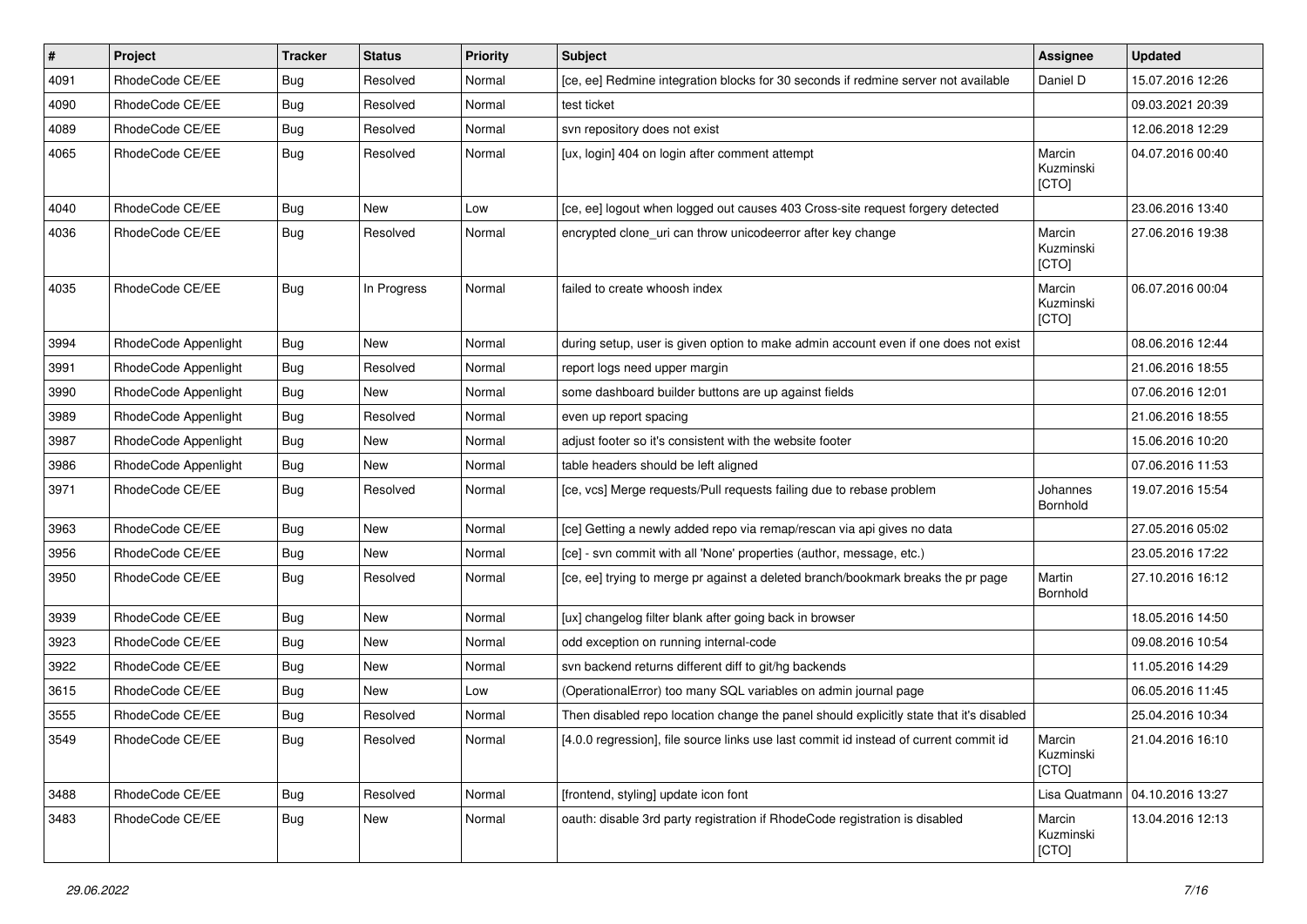| #    | Project              | <b>Tracker</b> | <b>Status</b> | <b>Priority</b> | <b>Subject</b>                                                                          | Assignee                     | <b>Updated</b>   |
|------|----------------------|----------------|---------------|-----------------|-----------------------------------------------------------------------------------------|------------------------------|------------------|
| 4091 | RhodeCode CE/EE      | Bug            | Resolved      | Normal          | [ce, ee] Redmine integration blocks for 30 seconds if redmine server not available      | Daniel D                     | 15.07.2016 12:26 |
| 4090 | RhodeCode CE/EE      | Bug            | Resolved      | Normal          | test ticket                                                                             |                              | 09.03.2021 20:39 |
| 4089 | RhodeCode CE/EE      | Bug            | Resolved      | Normal          | svn repository does not exist                                                           |                              | 12.06.2018 12:29 |
| 4065 | RhodeCode CE/EE      | Bug            | Resolved      | Normal          | [ux, login] 404 on login after comment attempt                                          | Marcin<br>Kuzminski<br>[CTO] | 04.07.2016 00:40 |
| 4040 | RhodeCode CE/EE      | Bug            | New           | Low             | [ce, ee] logout when logged out causes 403 Cross-site request forgery detected          |                              | 23.06.2016 13:40 |
| 4036 | RhodeCode CE/EE      | Bug            | Resolved      | Normal          | encrypted clone_uri can throw unicodeerror after key change                             | Marcin<br>Kuzminski<br>[CTO] | 27.06.2016 19:38 |
| 4035 | RhodeCode CE/EE      | Bug            | In Progress   | Normal          | failed to create whoosh index                                                           | Marcin<br>Kuzminski<br>[CTO] | 06.07.2016 00:04 |
| 3994 | RhodeCode Appenlight | Bug            | New           | Normal          | during setup, user is given option to make admin account even if one does not exist     |                              | 08.06.2016 12:44 |
| 3991 | RhodeCode Appenlight | Bug            | Resolved      | Normal          | report logs need upper margin                                                           |                              | 21.06.2016 18:55 |
| 3990 | RhodeCode Appenlight | Bug            | New           | Normal          | some dashboard builder buttons are up against fields                                    |                              | 07.06.2016 12:01 |
| 3989 | RhodeCode Appenlight | Bug            | Resolved      | Normal          | even up report spacing                                                                  |                              | 21.06.2016 18:55 |
| 3987 | RhodeCode Appenlight | Bug            | New           | Normal          | adjust footer so it's consistent with the website footer                                |                              | 15.06.2016 10:20 |
| 3986 | RhodeCode Appenlight | Bug            | New           | Normal          | table headers should be left aligned                                                    |                              | 07.06.2016 11:53 |
| 3971 | RhodeCode CE/EE      | Bug            | Resolved      | Normal          | [ce, vcs] Merge requests/Pull requests failing due to rebase problem                    | Johannes<br>Bornhold         | 19.07.2016 15:54 |
| 3963 | RhodeCode CE/EE      | Bug            | New           | Normal          | [ce] Getting a newly added repo via remap/rescan via api gives no data                  |                              | 27.05.2016 05:02 |
| 3956 | RhodeCode CE/EE      | Bug            | New           | Normal          | [ce] - svn commit with all 'None' properties (author, message, etc.)                    |                              | 23.05.2016 17:22 |
| 3950 | RhodeCode CE/EE      | Bug            | Resolved      | Normal          | [ce, ee] trying to merge pr against a deleted branch/bookmark breaks the pr page        | Martin<br>Bornhold           | 27.10.2016 16:12 |
| 3939 | RhodeCode CE/EE      | Bug            | New           | Normal          | [ux] changelog filter blank after going back in browser                                 |                              | 18.05.2016 14:50 |
| 3923 | RhodeCode CE/EE      | Bug            | <b>New</b>    | Normal          | odd exception on running internal-code                                                  |                              | 09.08.2016 10:54 |
| 3922 | RhodeCode CE/EE      | Bug            | New           | Normal          | svn backend returns different diff to git/hg backends                                   |                              | 11.05.2016 14:29 |
| 3615 | RhodeCode CE/EE      | Bug            | <b>New</b>    | Low             | (OperationalError) too many SQL variables on admin journal page                         |                              | 06.05.2016 11:45 |
| 3555 | RhodeCode CE/EE      | Bug            | Resolved      | Normal          | Then disabled repo location change the panel should explicitly state that it's disabled |                              | 25.04.2016 10:34 |
| 3549 | RhodeCode CE/EE      | <b>Bug</b>     | Resolved      | Normal          | [4.0.0 regression], file source links use last commit id instead of current commit id   | Marcin<br>Kuzminski<br>[CTO] | 21.04.2016 16:10 |
| 3488 | RhodeCode CE/EE      | Bug            | Resolved      | Normal          | [frontend, styling] update icon font                                                    | Lisa Quatmann                | 04.10.2016 13:27 |
| 3483 | RhodeCode CE/EE      | Bug            | New           | Normal          | oauth: disable 3rd party registration if RhodeCode registration is disabled             | Marcin<br>Kuzminski<br>[CTO] | 13.04.2016 12:13 |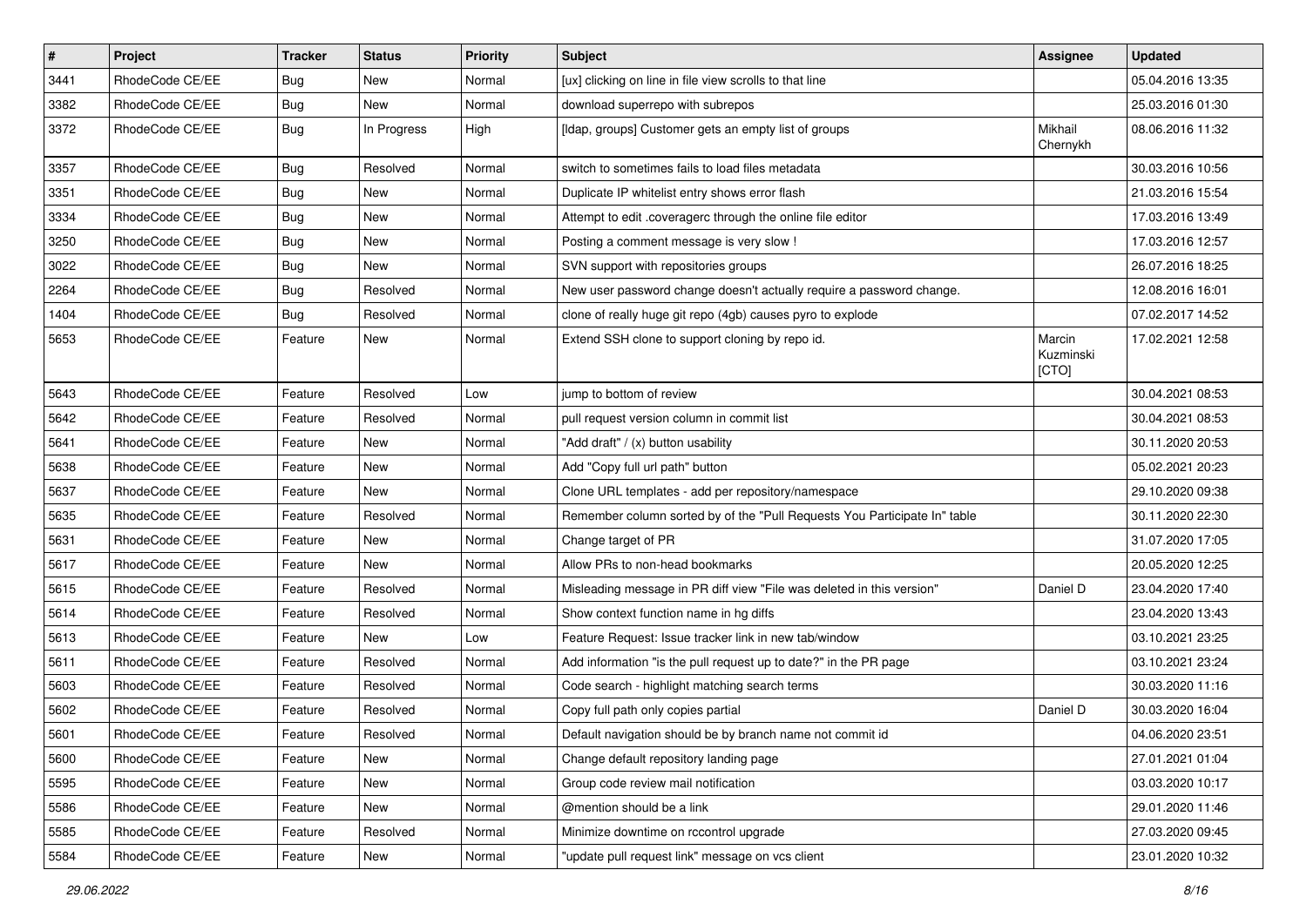| $\pmb{\#}$ | Project         | Tracker    | <b>Status</b> | <b>Priority</b> | <b>Subject</b>                                                            | Assignee                     | <b>Updated</b>   |
|------------|-----------------|------------|---------------|-----------------|---------------------------------------------------------------------------|------------------------------|------------------|
| 3441       | RhodeCode CE/EE | Bug        | New           | Normal          | [ux] clicking on line in file view scrolls to that line                   |                              | 05.04.2016 13:35 |
| 3382       | RhodeCode CE/EE | <b>Bug</b> | <b>New</b>    | Normal          | download superrepo with subrepos                                          |                              | 25.03.2016 01:30 |
| 3372       | RhodeCode CE/EE | Bug        | In Progress   | High            | [Idap, groups] Customer gets an empty list of groups                      | Mikhail<br>Chernykh          | 08.06.2016 11:32 |
| 3357       | RhodeCode CE/EE | Bug        | Resolved      | Normal          | switch to sometimes fails to load files metadata                          |                              | 30.03.2016 10:56 |
| 3351       | RhodeCode CE/EE | <b>Bug</b> | New           | Normal          | Duplicate IP whitelist entry shows error flash                            |                              | 21.03.2016 15:54 |
| 3334       | RhodeCode CE/EE | Bug        | New           | Normal          | Attempt to edit .coveragerc through the online file editor                |                              | 17.03.2016 13:49 |
| 3250       | RhodeCode CE/EE | <b>Bug</b> | New           | Normal          | Posting a comment message is very slow !                                  |                              | 17.03.2016 12:57 |
| 3022       | RhodeCode CE/EE | <b>Bug</b> | New           | Normal          | SVN support with repositories groups                                      |                              | 26.07.2016 18:25 |
| 2264       | RhodeCode CE/EE | Bug        | Resolved      | Normal          | New user password change doesn't actually require a password change.      |                              | 12.08.2016 16:01 |
| 1404       | RhodeCode CE/EE | Bug        | Resolved      | Normal          | clone of really huge git repo (4gb) causes pyro to explode                |                              | 07.02.2017 14:52 |
| 5653       | RhodeCode CE/EE | Feature    | New           | Normal          | Extend SSH clone to support cloning by repo id.                           | Marcin<br>Kuzminski<br>[CTO] | 17.02.2021 12:58 |
| 5643       | RhodeCode CE/EE | Feature    | Resolved      | Low             | jump to bottom of review                                                  |                              | 30.04.2021 08:53 |
| 5642       | RhodeCode CE/EE | Feature    | Resolved      | Normal          | pull request version column in commit list                                |                              | 30.04.2021 08:53 |
| 5641       | RhodeCode CE/EE | Feature    | New           | Normal          | "Add draft" / (x) button usability                                        |                              | 30.11.2020 20:53 |
| 5638       | RhodeCode CE/EE | Feature    | New           | Normal          | Add "Copy full url path" button                                           |                              | 05.02.2021 20:23 |
| 5637       | RhodeCode CE/EE | Feature    | New           | Normal          | Clone URL templates - add per repository/namespace                        |                              | 29.10.2020 09:38 |
| 5635       | RhodeCode CE/EE | Feature    | Resolved      | Normal          | Remember column sorted by of the "Pull Requests You Participate In" table |                              | 30.11.2020 22:30 |
| 5631       | RhodeCode CE/EE | Feature    | New           | Normal          | Change target of PR                                                       |                              | 31.07.2020 17:05 |
| 5617       | RhodeCode CE/EE | Feature    | New           | Normal          | Allow PRs to non-head bookmarks                                           |                              | 20.05.2020 12:25 |
| 5615       | RhodeCode CE/EE | Feature    | Resolved      | Normal          | Misleading message in PR diff view "File was deleted in this version"     | Daniel D                     | 23.04.2020 17:40 |
| 5614       | RhodeCode CE/EE | Feature    | Resolved      | Normal          | Show context function name in hg diffs                                    |                              | 23.04.2020 13:43 |
| 5613       | RhodeCode CE/EE | Feature    | New           | Low             | Feature Request: Issue tracker link in new tab/window                     |                              | 03.10.2021 23:25 |
| 5611       | RhodeCode CE/EE | Feature    | Resolved      | Normal          | Add information "is the pull request up to date?" in the PR page          |                              | 03.10.2021 23:24 |
| 5603       | RhodeCode CE/EE | Feature    | Resolved      | Normal          | Code search - highlight matching search terms                             |                              | 30.03.2020 11:16 |
| 5602       | RhodeCode CE/EE | Feature    | Resolved      | Normal          | Copy full path only copies partial                                        | Daniel D                     | 30.03.2020 16:04 |
| 5601       | RhodeCode CE/EE | Feature    | Resolved      | Normal          | Default navigation should be by branch name not commit id                 |                              | 04.06.2020 23:51 |
| 5600       | RhodeCode CE/EE | Feature    | New           | Normal          | Change default repository landing page                                    |                              | 27.01.2021 01:04 |
| 5595       | RhodeCode CE/EE | Feature    | New           | Normal          | Group code review mail notification                                       |                              | 03.03.2020 10:17 |
| 5586       | RhodeCode CE/EE | Feature    | New           | Normal          | @mention should be a link                                                 |                              | 29.01.2020 11:46 |
| 5585       | RhodeCode CE/EE | Feature    | Resolved      | Normal          | Minimize downtime on rccontrol upgrade                                    |                              | 27.03.2020 09:45 |
| 5584       | RhodeCode CE/EE | Feature    | New           | Normal          | "update pull request link" message on vcs client                          |                              | 23.01.2020 10:32 |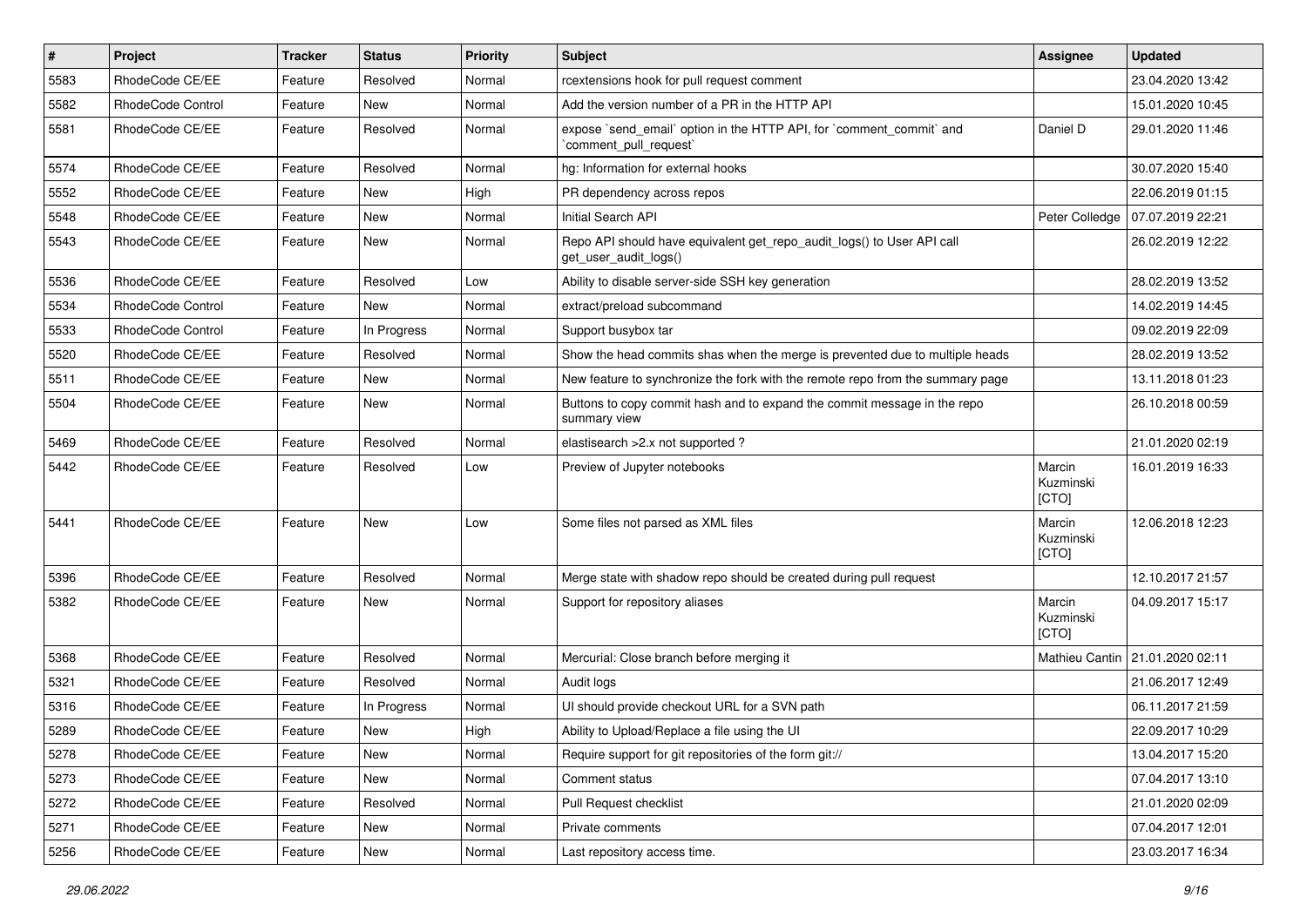| $\vert$ # | Project           | <b>Tracker</b> | <b>Status</b> | <b>Priority</b> | <b>Subject</b>                                                                                  | <b>Assignee</b>              | <b>Updated</b>   |
|-----------|-------------------|----------------|---------------|-----------------|-------------------------------------------------------------------------------------------------|------------------------------|------------------|
| 5583      | RhodeCode CE/EE   | Feature        | Resolved      | Normal          | rcextensions hook for pull request comment                                                      |                              | 23.04.2020 13:42 |
| 5582      | RhodeCode Control | Feature        | <b>New</b>    | Normal          | Add the version number of a PR in the HTTP API                                                  |                              | 15.01.2020 10:45 |
| 5581      | RhodeCode CE/EE   | Feature        | Resolved      | Normal          | expose `send email` option in the HTTP API, for `comment commit` and<br>`comment_pull_request`  | Daniel D                     | 29.01.2020 11:46 |
| 5574      | RhodeCode CE/EE   | Feature        | Resolved      | Normal          | hg: Information for external hooks                                                              |                              | 30.07.2020 15:40 |
| 5552      | RhodeCode CE/EE   | Feature        | New           | High            | PR dependency across repos                                                                      |                              | 22.06.2019 01:15 |
| 5548      | RhodeCode CE/EE   | Feature        | New           | Normal          | Initial Search API                                                                              | Peter Colledge               | 07.07.2019 22:21 |
| 5543      | RhodeCode CE/EE   | Feature        | <b>New</b>    | Normal          | Repo API should have equivalent get_repo_audit_logs() to User API call<br>get_user_audit_logs() |                              | 26.02.2019 12:22 |
| 5536      | RhodeCode CE/EE   | Feature        | Resolved      | Low             | Ability to disable server-side SSH key generation                                               |                              | 28.02.2019 13:52 |
| 5534      | RhodeCode Control | Feature        | New           | Normal          | extract/preload subcommand                                                                      |                              | 14.02.2019 14:45 |
| 5533      | RhodeCode Control | Feature        | In Progress   | Normal          | Support busybox tar                                                                             |                              | 09.02.2019 22:09 |
| 5520      | RhodeCode CE/EE   | Feature        | Resolved      | Normal          | Show the head commits shas when the merge is prevented due to multiple heads                    |                              | 28.02.2019 13:52 |
| 5511      | RhodeCode CE/EE   | Feature        | New           | Normal          | New feature to synchronize the fork with the remote repo from the summary page                  |                              | 13.11.2018 01:23 |
| 5504      | RhodeCode CE/EE   | Feature        | New           | Normal          | Buttons to copy commit hash and to expand the commit message in the repo<br>summary view        |                              | 26.10.2018 00:59 |
| 5469      | RhodeCode CE/EE   | Feature        | Resolved      | Normal          | elastisearch > 2.x not supported?                                                               |                              | 21.01.2020 02:19 |
| 5442      | RhodeCode CE/EE   | Feature        | Resolved      | Low             | Preview of Jupyter notebooks                                                                    | Marcin<br>Kuzminski<br>[CTO] | 16.01.2019 16:33 |
| 5441      | RhodeCode CE/EE   | Feature        | New           | Low             | Some files not parsed as XML files                                                              | Marcin<br>Kuzminski<br>[CTO] | 12.06.2018 12:23 |
| 5396      | RhodeCode CE/EE   | Feature        | Resolved      | Normal          | Merge state with shadow repo should be created during pull request                              |                              | 12.10.2017 21:57 |
| 5382      | RhodeCode CE/EE   | Feature        | New           | Normal          | Support for repository aliases                                                                  | Marcin<br>Kuzminski<br>[CTO] | 04.09.2017 15:17 |
| 5368      | RhodeCode CE/EE   | Feature        | Resolved      | Normal          | Mercurial: Close branch before merging it                                                       | Mathieu Cantin               | 21.01.2020 02:11 |
| 5321      | RhodeCode CE/EE   | Feature        | Resolved      | Normal          | Audit logs                                                                                      |                              | 21.06.2017 12:49 |
| 5316      | RhodeCode CE/EE   | Feature        | In Progress   | Normal          | UI should provide checkout URL for a SVN path                                                   |                              | 06.11.2017 21:59 |
| 5289      | RhodeCode CE/EE   | Feature        | New           | High            | Ability to Upload/Replace a file using the UI                                                   |                              | 22.09.2017 10:29 |
| 5278      | RhodeCode CE/EE   | Feature        | New           | Normal          | Require support for git repositories of the form git://                                         |                              | 13.04.2017 15:20 |
| 5273      | RhodeCode CE/EE   | Feature        | New           | Normal          | Comment status                                                                                  |                              | 07.04.2017 13:10 |
| 5272      | RhodeCode CE/EE   | Feature        | Resolved      | Normal          | Pull Request checklist                                                                          |                              | 21.01.2020 02:09 |
| 5271      | RhodeCode CE/EE   | Feature        | New           | Normal          | Private comments                                                                                |                              | 07.04.2017 12:01 |
| 5256      | RhodeCode CE/EE   | Feature        | New           | Normal          | Last repository access time.                                                                    |                              | 23.03.2017 16:34 |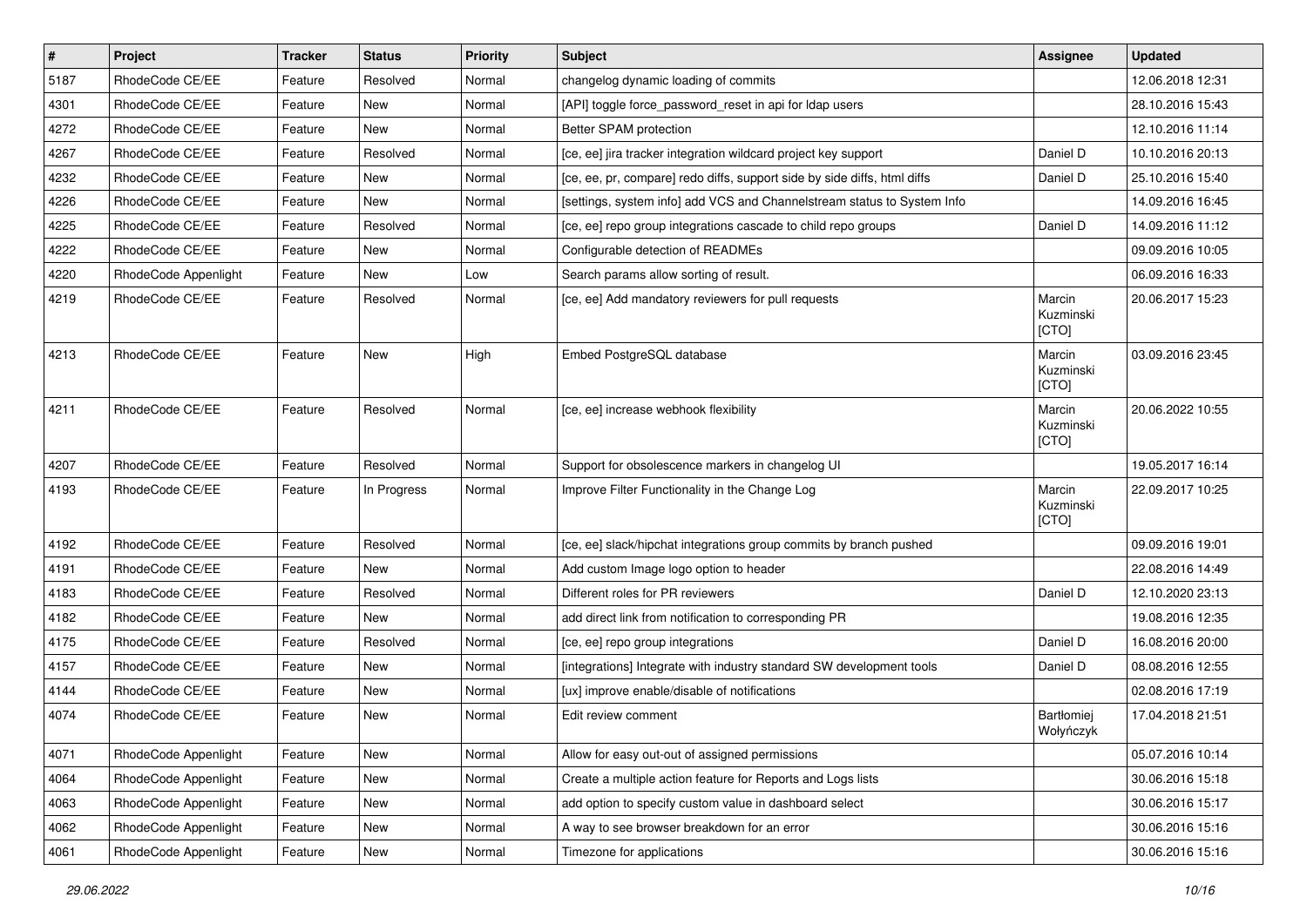| $\vert$ # | Project              | <b>Tracker</b> | <b>Status</b> | <b>Priority</b> | <b>Subject</b>                                                           | <b>Assignee</b>              | <b>Updated</b>   |
|-----------|----------------------|----------------|---------------|-----------------|--------------------------------------------------------------------------|------------------------------|------------------|
| 5187      | RhodeCode CE/EE      | Feature        | Resolved      | Normal          | changelog dynamic loading of commits                                     |                              | 12.06.2018 12:31 |
| 4301      | RhodeCode CE/EE      | Feature        | New           | Normal          | [API] toggle force_password_reset in api for Idap users                  |                              | 28.10.2016 15:43 |
| 4272      | RhodeCode CE/EE      | Feature        | New           | Normal          | Better SPAM protection                                                   |                              | 12.10.2016 11:14 |
| 4267      | RhodeCode CE/EE      | Feature        | Resolved      | Normal          | [ce, ee] jira tracker integration wildcard project key support           | Daniel D                     | 10.10.2016 20:13 |
| 4232      | RhodeCode CE/EE      | Feature        | <b>New</b>    | Normal          | [ce, ee, pr, compare] redo diffs, support side by side diffs, html diffs | Daniel D                     | 25.10.2016 15:40 |
| 4226      | RhodeCode CE/EE      | Feature        | <b>New</b>    | Normal          | [settings, system info] add VCS and Channelstream status to System Info  |                              | 14.09.2016 16:45 |
| 4225      | RhodeCode CE/EE      | Feature        | Resolved      | Normal          | [ce, ee] repo group integrations cascade to child repo groups            | Daniel D                     | 14.09.2016 11:12 |
| 4222      | RhodeCode CE/EE      | Feature        | New           | Normal          | Configurable detection of READMEs                                        |                              | 09.09.2016 10:05 |
| 4220      | RhodeCode Appenlight | Feature        | <b>New</b>    | Low             | Search params allow sorting of result.                                   |                              | 06.09.2016 16:33 |
| 4219      | RhodeCode CE/EE      | Feature        | Resolved      | Normal          | [ce, ee] Add mandatory reviewers for pull requests                       | Marcin<br>Kuzminski<br>[CTO] | 20.06.2017 15:23 |
| 4213      | RhodeCode CE/EE      | Feature        | <b>New</b>    | High            | Embed PostgreSQL database                                                | Marcin<br>Kuzminski<br>[CTO] | 03.09.2016 23:45 |
| 4211      | RhodeCode CE/EE      | Feature        | Resolved      | Normal          | [ce, ee] increase webhook flexibility                                    | Marcin<br>Kuzminski<br>[CTO] | 20.06.2022 10:55 |
| 4207      | RhodeCode CE/EE      | Feature        | Resolved      | Normal          | Support for obsolescence markers in changelog UI                         |                              | 19.05.2017 16:14 |
| 4193      | RhodeCode CE/EE      | Feature        | In Progress   | Normal          | Improve Filter Functionality in the Change Log                           | Marcin<br>Kuzminski<br>[CTO] | 22.09.2017 10:25 |
| 4192      | RhodeCode CE/EE      | Feature        | Resolved      | Normal          | [ce, ee] slack/hipchat integrations group commits by branch pushed       |                              | 09.09.2016 19:01 |
| 4191      | RhodeCode CE/EE      | Feature        | <b>New</b>    | Normal          | Add custom Image logo option to header                                   |                              | 22.08.2016 14:49 |
| 4183      | RhodeCode CE/EE      | Feature        | Resolved      | Normal          | Different roles for PR reviewers                                         | Daniel D                     | 12.10.2020 23:13 |
| 4182      | RhodeCode CE/EE      | Feature        | New           | Normal          | add direct link from notification to corresponding PR                    |                              | 19.08.2016 12:35 |
| 4175      | RhodeCode CE/EE      | Feature        | Resolved      | Normal          | [ce, ee] repo group integrations                                         | Daniel D                     | 16.08.2016 20:00 |
| 4157      | RhodeCode CE/EE      | Feature        | New           | Normal          | [integrations] Integrate with industry standard SW development tools     | Daniel D                     | 08.08.2016 12:55 |
| 4144      | RhodeCode CE/EE      | Feature        | New           | Normal          | [ux] improve enable/disable of notifications                             |                              | 02.08.2016 17:19 |
| 4074      | RhodeCode CE/EE      | Feature        | New           | Normal          | Edit review comment                                                      | Bartłomiej<br>Wołyńczyk      | 17.04.2018 21:51 |
| 4071      | RhodeCode Appenlight | Feature        | New           | Normal          | Allow for easy out-out of assigned permissions                           |                              | 05.07.2016 10:14 |
| 4064      | RhodeCode Appenlight | Feature        | New           | Normal          | Create a multiple action feature for Reports and Logs lists              |                              | 30.06.2016 15:18 |
| 4063      | RhodeCode Appenlight | Feature        | New           | Normal          | add option to specify custom value in dashboard select                   |                              | 30.06.2016 15:17 |
| 4062      | RhodeCode Appenlight | Feature        | New           | Normal          | A way to see browser breakdown for an error                              |                              | 30.06.2016 15:16 |
| 4061      | RhodeCode Appenlight | Feature        | New           | Normal          | Timezone for applications                                                |                              | 30.06.2016 15:16 |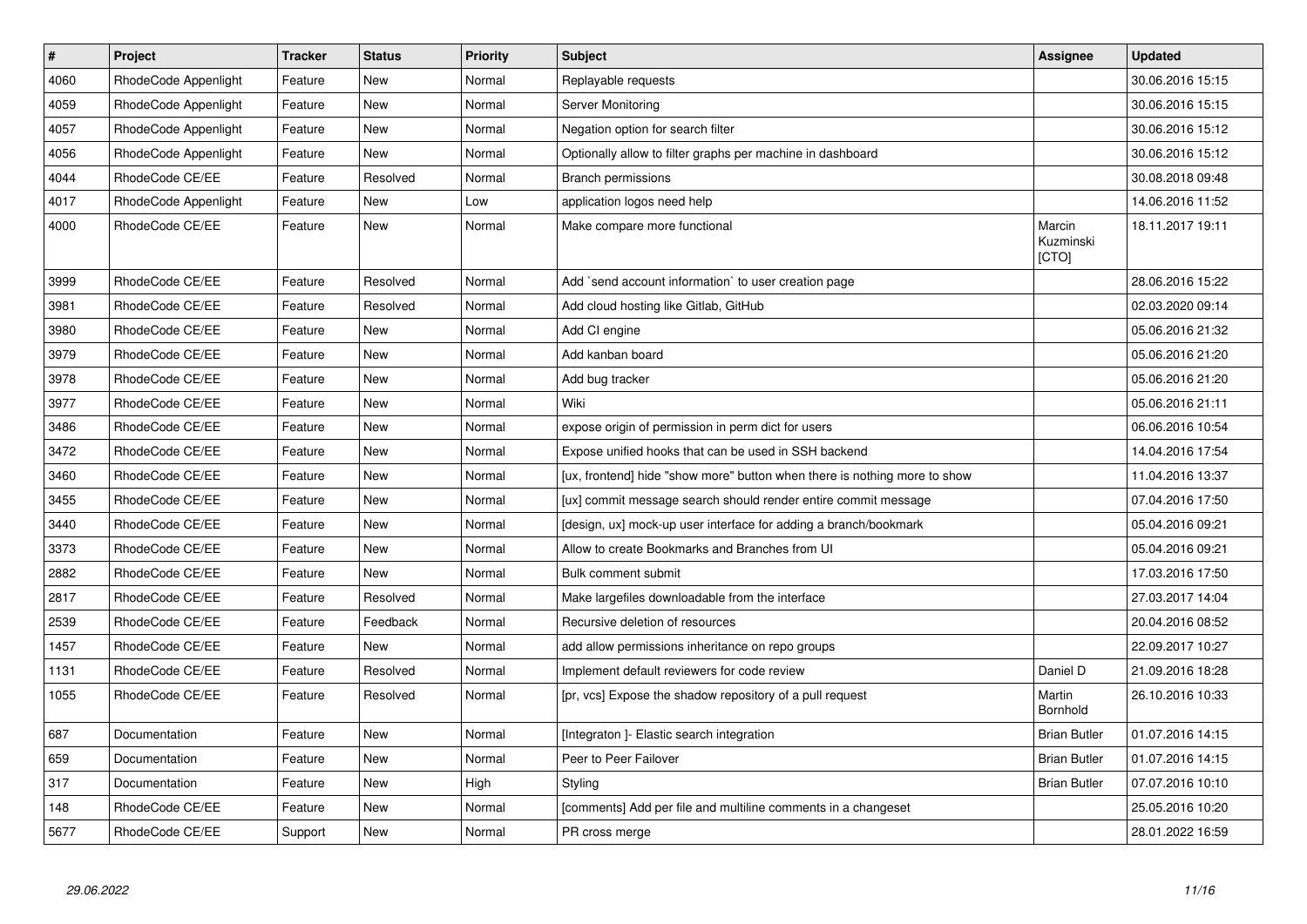| $\vert$ # | Project              | <b>Tracker</b> | <b>Status</b> | <b>Priority</b> | <b>Subject</b>                                                            | <b>Assignee</b>              | <b>Updated</b>   |
|-----------|----------------------|----------------|---------------|-----------------|---------------------------------------------------------------------------|------------------------------|------------------|
| 4060      | RhodeCode Appenlight | Feature        | New           | Normal          | Replayable requests                                                       |                              | 30.06.2016 15:15 |
| 4059      | RhodeCode Appenlight | Feature        | <b>New</b>    | Normal          | Server Monitoring                                                         |                              | 30.06.2016 15:15 |
| 4057      | RhodeCode Appenlight | Feature        | New           | Normal          | Negation option for search filter                                         |                              | 30.06.2016 15:12 |
| 4056      | RhodeCode Appenlight | Feature        | <b>New</b>    | Normal          | Optionally allow to filter graphs per machine in dashboard                |                              | 30.06.2016 15:12 |
| 4044      | RhodeCode CE/EE      | Feature        | Resolved      | Normal          | Branch permissions                                                        |                              | 30.08.2018 09:48 |
| 4017      | RhodeCode Appenlight | Feature        | <b>New</b>    | Low             | application logos need help                                               |                              | 14.06.2016 11:52 |
| 4000      | RhodeCode CE/EE      | Feature        | <b>New</b>    | Normal          | Make compare more functional                                              | Marcin<br>Kuzminski<br>[CTO] | 18.11.2017 19:11 |
| 3999      | RhodeCode CE/EE      | Feature        | Resolved      | Normal          | Add `send account information` to user creation page                      |                              | 28.06.2016 15:22 |
| 3981      | RhodeCode CE/EE      | Feature        | Resolved      | Normal          | Add cloud hosting like Gitlab, GitHub                                     |                              | 02.03.2020 09:14 |
| 3980      | RhodeCode CE/EE      | Feature        | New           | Normal          | Add CI engine                                                             |                              | 05.06.2016 21:32 |
| 3979      | RhodeCode CE/EE      | Feature        | <b>New</b>    | Normal          | Add kanban board                                                          |                              | 05.06.2016 21:20 |
| 3978      | RhodeCode CE/EE      | Feature        | New           | Normal          | Add bug tracker                                                           |                              | 05.06.2016 21:20 |
| 3977      | RhodeCode CE/EE      | Feature        | <b>New</b>    | Normal          | Wiki                                                                      |                              | 05.06.2016 21:11 |
| 3486      | RhodeCode CE/EE      | Feature        | New           | Normal          | expose origin of permission in perm dict for users                        |                              | 06.06.2016 10:54 |
| 3472      | RhodeCode CE/EE      | Feature        | <b>New</b>    | Normal          | Expose unified hooks that can be used in SSH backend                      |                              | 14.04.2016 17:54 |
| 3460      | RhodeCode CE/EE      | Feature        | New           | Normal          | [ux, frontend] hide "show more" button when there is nothing more to show |                              | 11.04.2016 13:37 |
| 3455      | RhodeCode CE/EE      | Feature        | New           | Normal          | [ux] commit message search should render entire commit message            |                              | 07.04.2016 17:50 |
| 3440      | RhodeCode CE/EE      | Feature        | New           | Normal          | [design, ux] mock-up user interface for adding a branch/bookmark          |                              | 05.04.2016 09:21 |
| 3373      | RhodeCode CE/EE      | Feature        | New           | Normal          | Allow to create Bookmarks and Branches from UI                            |                              | 05.04.2016 09:21 |
| 2882      | RhodeCode CE/EE      | Feature        | New           | Normal          | Bulk comment submit                                                       |                              | 17.03.2016 17:50 |
| 2817      | RhodeCode CE/EE      | Feature        | Resolved      | Normal          | Make largefiles downloadable from the interface                           |                              | 27.03.2017 14:04 |
| 2539      | RhodeCode CE/EE      | Feature        | Feedback      | Normal          | Recursive deletion of resources                                           |                              | 20.04.2016 08:52 |
| 1457      | RhodeCode CE/EE      | Feature        | New           | Normal          | add allow permissions inheritance on repo groups                          |                              | 22.09.2017 10:27 |
| 1131      | RhodeCode CE/EE      | Feature        | Resolved      | Normal          | Implement default reviewers for code review                               | Daniel D                     | 21.09.2016 18:28 |
| 1055      | RhodeCode CE/EE      | Feature        | Resolved      | Normal          | [pr, vcs] Expose the shadow repository of a pull request                  | Martin<br>Bornhold           | 26.10.2016 10:33 |
| 687       | Documentation        | Feature        | New           | Normal          | [Integraton] - Elastic search integration                                 | <b>Brian Butler</b>          | 01.07.2016 14:15 |
| 659       | Documentation        | Feature        | New           | Normal          | Peer to Peer Failover                                                     | <b>Brian Butler</b>          | 01.07.2016 14:15 |
| 317       | Documentation        | Feature        | New           | High            | Styling                                                                   | <b>Brian Butler</b>          | 07.07.2016 10:10 |
| 148       | RhodeCode CE/EE      | Feature        | New           | Normal          | [comments] Add per file and multiline comments in a changeset             |                              | 25.05.2016 10:20 |
| 5677      | RhodeCode CE/EE      | Support        | <b>New</b>    | Normal          | PR cross merge                                                            |                              | 28.01.2022 16:59 |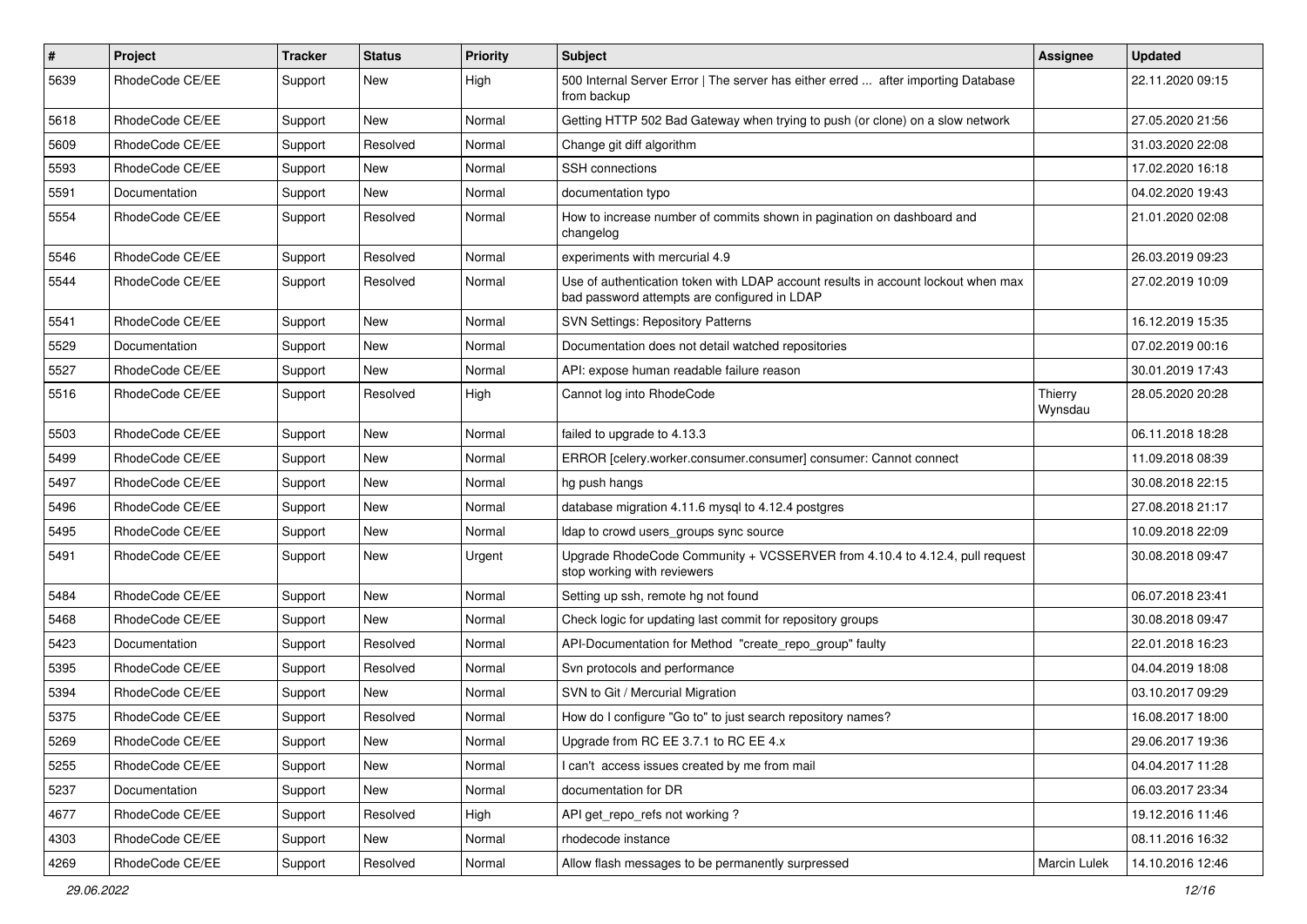| $\#$ | Project         | Tracker | <b>Status</b> | <b>Priority</b> | <b>Subject</b>                                                                                                                    | <b>Assignee</b>     | <b>Updated</b>   |
|------|-----------------|---------|---------------|-----------------|-----------------------------------------------------------------------------------------------------------------------------------|---------------------|------------------|
| 5639 | RhodeCode CE/EE | Support | New           | High            | 500 Internal Server Error   The server has either erred  after importing Database<br>from backup                                  |                     | 22.11.2020 09:15 |
| 5618 | RhodeCode CE/EE | Support | New           | Normal          | Getting HTTP 502 Bad Gateway when trying to push (or clone) on a slow network                                                     |                     | 27.05.2020 21:56 |
| 5609 | RhodeCode CE/EE | Support | Resolved      | Normal          | Change git diff algorithm                                                                                                         |                     | 31.03.2020 22:08 |
| 5593 | RhodeCode CE/EE | Support | New           | Normal          | SSH connections                                                                                                                   |                     | 17.02.2020 16:18 |
| 5591 | Documentation   | Support | New           | Normal          | documentation typo                                                                                                                |                     | 04.02.2020 19:43 |
| 5554 | RhodeCode CE/EE | Support | Resolved      | Normal          | How to increase number of commits shown in pagination on dashboard and<br>changelog                                               |                     | 21.01.2020 02:08 |
| 5546 | RhodeCode CE/EE | Support | Resolved      | Normal          | experiments with mercurial 4.9                                                                                                    |                     | 26.03.2019 09:23 |
| 5544 | RhodeCode CE/EE | Support | Resolved      | Normal          | Use of authentication token with LDAP account results in account lockout when max<br>bad password attempts are configured in LDAP |                     | 27.02.2019 10:09 |
| 5541 | RhodeCode CE/EE | Support | New           | Normal          | <b>SVN Settings: Repository Patterns</b>                                                                                          |                     | 16.12.2019 15:35 |
| 5529 | Documentation   | Support | New           | Normal          | Documentation does not detail watched repositories                                                                                |                     | 07.02.2019 00:16 |
| 5527 | RhodeCode CE/EE | Support | New           | Normal          | API: expose human readable failure reason                                                                                         |                     | 30.01.2019 17:43 |
| 5516 | RhodeCode CE/EE | Support | Resolved      | High            | Cannot log into RhodeCode                                                                                                         | Thierry<br>Wynsdau  | 28.05.2020 20:28 |
| 5503 | RhodeCode CE/EE | Support | New           | Normal          | failed to upgrade to 4.13.3                                                                                                       |                     | 06.11.2018 18:28 |
| 5499 | RhodeCode CE/EE | Support | New           | Normal          | ERROR [celery.worker.consumer.consumer] consumer: Cannot connect                                                                  |                     | 11.09.2018 08:39 |
| 5497 | RhodeCode CE/EE | Support | New           | Normal          | hg push hangs                                                                                                                     |                     | 30.08.2018 22:15 |
| 5496 | RhodeCode CE/EE | Support | New           | Normal          | database migration 4.11.6 mysql to 4.12.4 postgres                                                                                |                     | 27.08.2018 21:17 |
| 5495 | RhodeCode CE/EE | Support | New           | Normal          | Idap to crowd users groups sync source                                                                                            |                     | 10.09.2018 22:09 |
| 5491 | RhodeCode CE/EE | Support | New           | Urgent          | Upgrade RhodeCode Community + VCSSERVER from 4.10.4 to 4.12.4, pull request<br>stop working with reviewers                        |                     | 30.08.2018 09:47 |
| 5484 | RhodeCode CE/EE | Support | New           | Normal          | Setting up ssh, remote hg not found                                                                                               |                     | 06.07.2018 23:41 |
| 5468 | RhodeCode CE/EE | Support | New           | Normal          | Check logic for updating last commit for repository groups                                                                        |                     | 30.08.2018 09:47 |
| 5423 | Documentation   | Support | Resolved      | Normal          | API-Documentation for Method "create_repo_group" faulty                                                                           |                     | 22.01.2018 16:23 |
| 5395 | RhodeCode CE/EE | Support | Resolved      | Normal          | Svn protocols and performance                                                                                                     |                     | 04.04.2019 18:08 |
| 5394 | RhodeCode CE/EE | Support | New           | Normal          | SVN to Git / Mercurial Migration                                                                                                  |                     | 03.10.2017 09:29 |
| 5375 | RhodeCode CE/EE | Support | Resolved      | Normal          | How do I configure "Go to" to just search repository names?                                                                       |                     | 16.08.2017 18:00 |
| 5269 | RhodeCode CE/EE | Support | New           | Normal          | Upgrade from RC EE 3.7.1 to RC EE 4.x                                                                                             |                     | 29.06.2017 19:36 |
| 5255 | RhodeCode CE/EE | Support | New           | Normal          | I can't access issues created by me from mail                                                                                     |                     | 04.04.2017 11:28 |
| 5237 | Documentation   | Support | New           | Normal          | documentation for DR                                                                                                              |                     | 06.03.2017 23:34 |
| 4677 | RhodeCode CE/EE | Support | Resolved      | High            | API get_repo_refs not working?                                                                                                    |                     | 19.12.2016 11:46 |
| 4303 | RhodeCode CE/EE | Support | New           | Normal          | rhodecode instance                                                                                                                |                     | 08.11.2016 16:32 |
| 4269 | RhodeCode CE/EE | Support | Resolved      | Normal          | Allow flash messages to be permanently surpressed                                                                                 | <b>Marcin Lulek</b> | 14.10.2016 12:46 |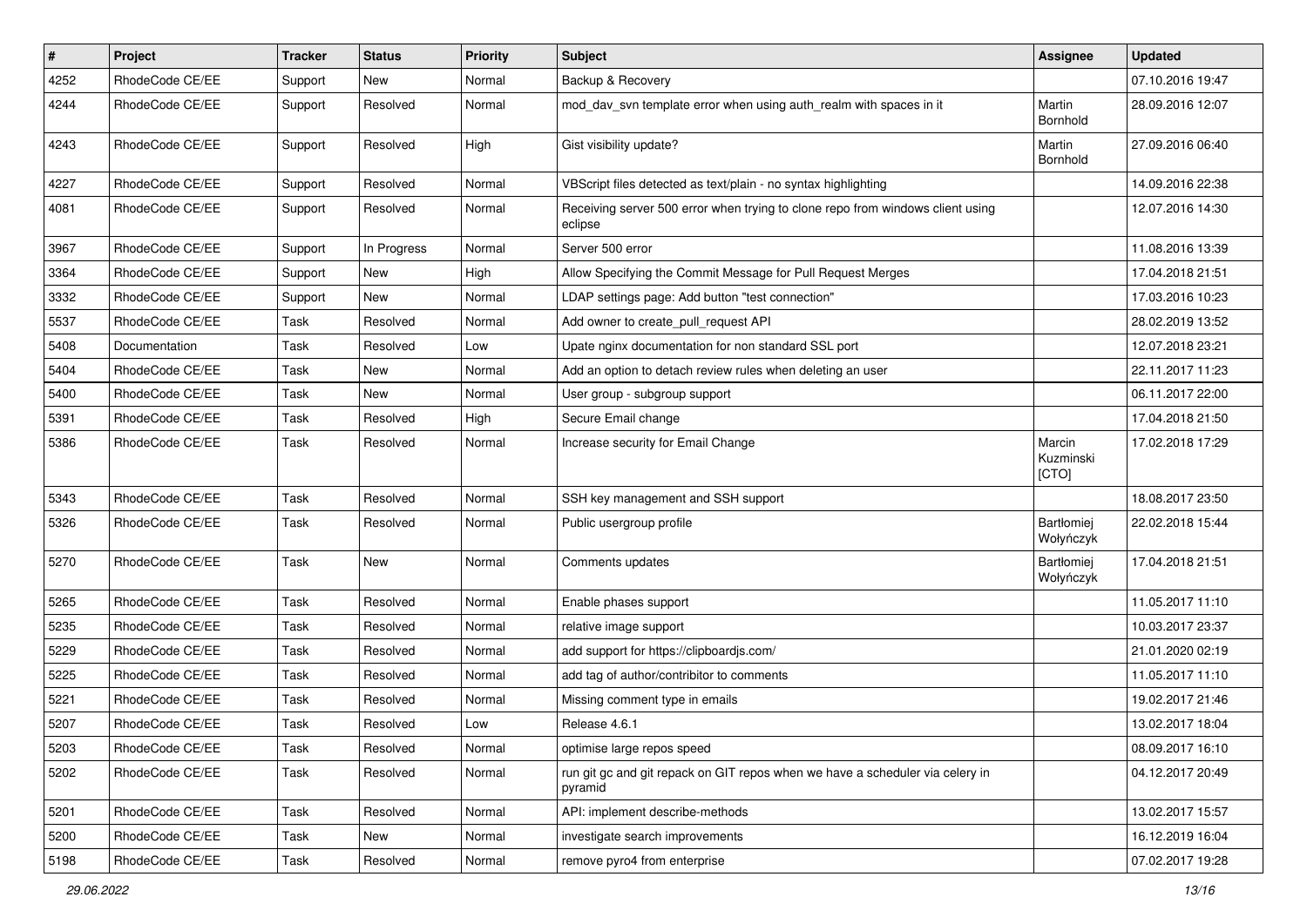| $\pmb{\#}$ | Project         | <b>Tracker</b> | <b>Status</b> | <b>Priority</b> | Subject                                                                                   | Assignee                     | <b>Updated</b>   |
|------------|-----------------|----------------|---------------|-----------------|-------------------------------------------------------------------------------------------|------------------------------|------------------|
| 4252       | RhodeCode CE/EE | Support        | <b>New</b>    | Normal          | Backup & Recovery                                                                         |                              | 07.10.2016 19:47 |
| 4244       | RhodeCode CE/EE | Support        | Resolved      | Normal          | mod_dav_svn template error when using auth_realm with spaces in it                        | Martin<br>Bornhold           | 28.09.2016 12:07 |
| 4243       | RhodeCode CE/EE | Support        | Resolved      | High            | Gist visibility update?                                                                   | Martin<br>Bornhold           | 27.09.2016 06:40 |
| 4227       | RhodeCode CE/EE | Support        | Resolved      | Normal          | VBScript files detected as text/plain - no syntax highlighting                            |                              | 14.09.2016 22:38 |
| 4081       | RhodeCode CE/EE | Support        | Resolved      | Normal          | Receiving server 500 error when trying to clone repo from windows client using<br>eclipse |                              | 12.07.2016 14:30 |
| 3967       | RhodeCode CE/EE | Support        | In Progress   | Normal          | Server 500 error                                                                          |                              | 11.08.2016 13:39 |
| 3364       | RhodeCode CE/EE | Support        | <b>New</b>    | High            | Allow Specifying the Commit Message for Pull Request Merges                               |                              | 17.04.2018 21:51 |
| 3332       | RhodeCode CE/EE | Support        | New           | Normal          | LDAP settings page: Add button "test connection"                                          |                              | 17.03.2016 10:23 |
| 5537       | RhodeCode CE/EE | Task           | Resolved      | Normal          | Add owner to create_pull_request API                                                      |                              | 28.02.2019 13:52 |
| 5408       | Documentation   | Task           | Resolved      | Low             | Upate nginx documentation for non standard SSL port                                       |                              | 12.07.2018 23:21 |
| 5404       | RhodeCode CE/EE | Task           | New           | Normal          | Add an option to detach review rules when deleting an user                                |                              | 22.11.2017 11:23 |
| 5400       | RhodeCode CE/EE | Task           | New           | Normal          | User group - subgroup support                                                             |                              | 06.11.2017 22:00 |
| 5391       | RhodeCode CE/EE | Task           | Resolved      | High            | Secure Email change                                                                       |                              | 17.04.2018 21:50 |
| 5386       | RhodeCode CE/EE | Task           | Resolved      | Normal          | Increase security for Email Change                                                        | Marcin<br>Kuzminski<br>[CTO] | 17.02.2018 17:29 |
| 5343       | RhodeCode CE/EE | Task           | Resolved      | Normal          | SSH key management and SSH support                                                        |                              | 18.08.2017 23:50 |
| 5326       | RhodeCode CE/EE | Task           | Resolved      | Normal          | Public usergroup profile                                                                  | Bartłomiej<br>Wołyńczyk      | 22.02.2018 15:44 |
| 5270       | RhodeCode CE/EE | Task           | New           | Normal          | Comments updates                                                                          | Bartłomiej<br>Wołyńczyk      | 17.04.2018 21:51 |
| 5265       | RhodeCode CE/EE | Task           | Resolved      | Normal          | Enable phases support                                                                     |                              | 11.05.2017 11:10 |
| 5235       | RhodeCode CE/EE | Task           | Resolved      | Normal          | relative image support                                                                    |                              | 10.03.2017 23:37 |
| 5229       | RhodeCode CE/EE | Task           | Resolved      | Normal          | add support for https://clipboardjs.com/                                                  |                              | 21.01.2020 02:19 |
| 5225       | RhodeCode CE/EE | Task           | Resolved      | Normal          | add tag of author/contribitor to comments                                                 |                              | 11.05.2017 11:10 |
| 5221       | RhodeCode CE/EE | Task           | Resolved      | Normal          | Missing comment type in emails                                                            |                              | 19.02.2017 21:46 |
| 5207       | RhodeCode CE/EE | Task           | Resolved      | Low             | Release 4.6.1                                                                             |                              | 13.02.2017 18:04 |
| 5203       | RhodeCode CE/EE | Task           | Resolved      | Normal          | optimise large repos speed                                                                |                              | 08.09.2017 16:10 |
| 5202       | RhodeCode CE/EE | Task           | Resolved      | Normal          | run git gc and git repack on GIT repos when we have a scheduler via celery in<br>pyramid  |                              | 04.12.2017 20:49 |
| 5201       | RhodeCode CE/EE | Task           | Resolved      | Normal          | API: implement describe-methods                                                           |                              | 13.02.2017 15:57 |
| 5200       | RhodeCode CE/EE | Task           | New           | Normal          | investigate search improvements                                                           |                              | 16.12.2019 16:04 |
| 5198       | RhodeCode CE/EE | Task           | Resolved      | Normal          | remove pyro4 from enterprise                                                              |                              | 07.02.2017 19:28 |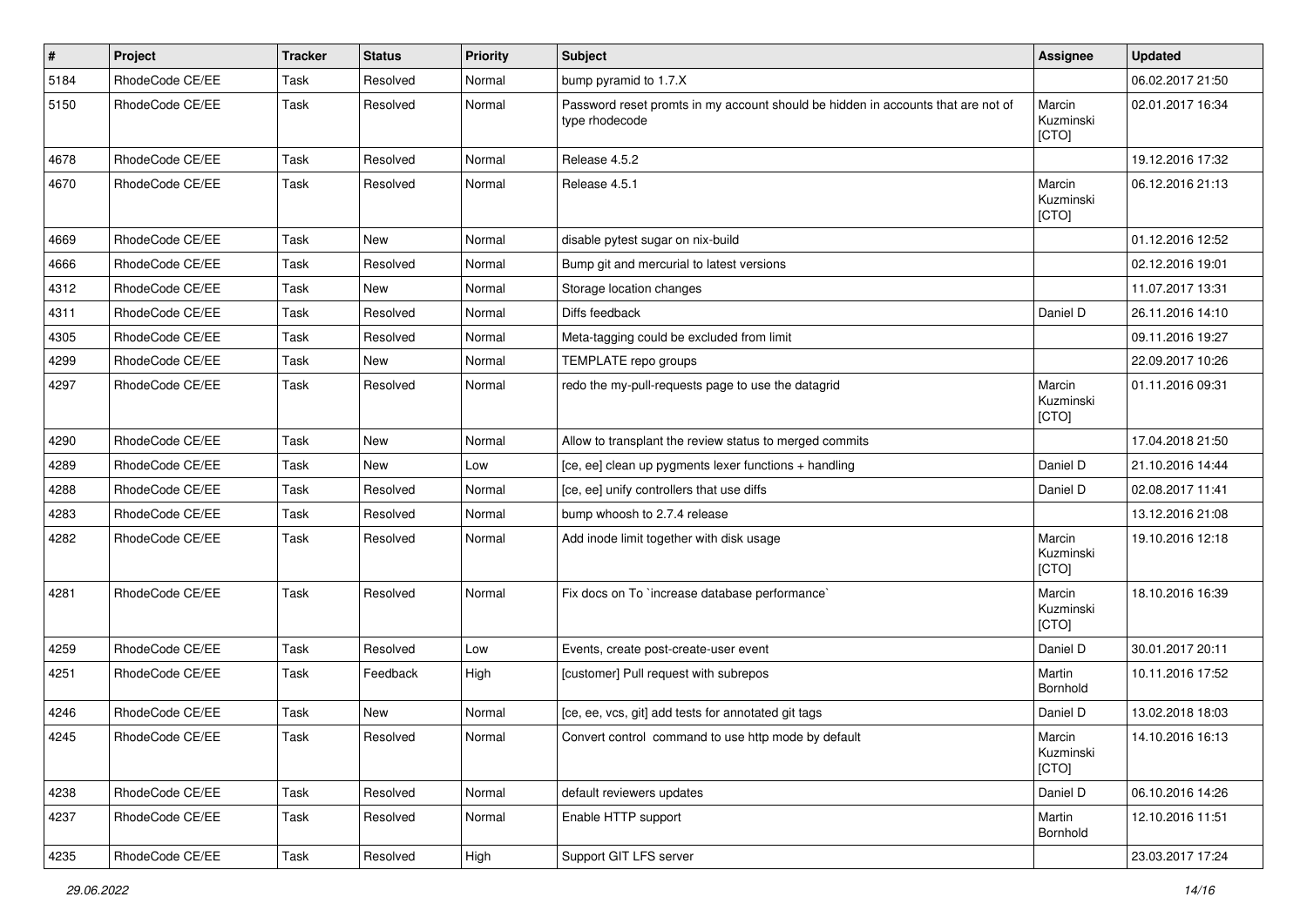| #    | Project         | <b>Tracker</b> | <b>Status</b> | <b>Priority</b> | <b>Subject</b>                                                                                     | <b>Assignee</b>              | <b>Updated</b>   |
|------|-----------------|----------------|---------------|-----------------|----------------------------------------------------------------------------------------------------|------------------------------|------------------|
| 5184 | RhodeCode CE/EE | Task           | Resolved      | Normal          | bump pyramid to 1.7.X                                                                              |                              | 06.02.2017 21:50 |
| 5150 | RhodeCode CE/EE | Task           | Resolved      | Normal          | Password reset promts in my account should be hidden in accounts that are not of<br>type rhodecode | Marcin<br>Kuzminski<br>[CTO] | 02.01.2017 16:34 |
| 4678 | RhodeCode CE/EE | Task           | Resolved      | Normal          | Release 4.5.2                                                                                      |                              | 19.12.2016 17:32 |
| 4670 | RhodeCode CE/EE | Task           | Resolved      | Normal          | Release 4.5.1                                                                                      | Marcin<br>Kuzminski<br>[CTO] | 06.12.2016 21:13 |
| 4669 | RhodeCode CE/EE | Task           | <b>New</b>    | Normal          | disable pytest sugar on nix-build                                                                  |                              | 01.12.2016 12:52 |
| 4666 | RhodeCode CE/EE | Task           | Resolved      | Normal          | Bump git and mercurial to latest versions                                                          |                              | 02.12.2016 19:01 |
| 4312 | RhodeCode CE/EE | Task           | New           | Normal          | Storage location changes                                                                           |                              | 11.07.2017 13:31 |
| 4311 | RhodeCode CE/EE | Task           | Resolved      | Normal          | Diffs feedback                                                                                     | Daniel D                     | 26.11.2016 14:10 |
| 4305 | RhodeCode CE/EE | Task           | Resolved      | Normal          | Meta-tagging could be excluded from limit                                                          |                              | 09.11.2016 19:27 |
| 4299 | RhodeCode CE/EE | Task           | New           | Normal          | TEMPLATE repo groups                                                                               |                              | 22.09.2017 10:26 |
| 4297 | RhodeCode CE/EE | Task           | Resolved      | Normal          | redo the my-pull-requests page to use the datagrid                                                 | Marcin<br>Kuzminski<br>[CTO] | 01.11.2016 09:31 |
| 4290 | RhodeCode CE/EE | Task           | <b>New</b>    | Normal          | Allow to transplant the review status to merged commits                                            |                              | 17.04.2018 21:50 |
| 4289 | RhodeCode CE/EE | Task           | New           | Low             | [ce, ee] clean up pygments lexer functions + handling                                              | Daniel D                     | 21.10.2016 14:44 |
| 4288 | RhodeCode CE/EE | Task           | Resolved      | Normal          | [ce, ee] unify controllers that use diffs                                                          | Daniel D                     | 02.08.2017 11:41 |
| 4283 | RhodeCode CE/EE | Task           | Resolved      | Normal          | bump whoosh to 2.7.4 release                                                                       |                              | 13.12.2016 21:08 |
| 4282 | RhodeCode CE/EE | Task           | Resolved      | Normal          | Add inode limit together with disk usage                                                           | Marcin<br>Kuzminski<br>[CTO] | 19.10.2016 12:18 |
| 4281 | RhodeCode CE/EE | Task           | Resolved      | Normal          | Fix docs on To `increase database performance`                                                     | Marcin<br>Kuzminski<br>[CTO] | 18.10.2016 16:39 |
| 4259 | RhodeCode CE/EE | Task           | Resolved      | Low             | Events, create post-create-user event                                                              | Daniel D                     | 30.01.2017 20:11 |
| 4251 | RhodeCode CE/EE | Task           | Feedback      | High            | [customer] Pull request with subrepos                                                              | Martin<br>Bornhold           | 10.11.2016 17:52 |
| 4246 | RhodeCode CE/EE | Task           | New           | Normal          | [ce, ee, vcs, git] add tests for annotated git tags                                                | Daniel D                     | 13.02.2018 18:03 |
| 4245 | RhodeCode CE/EE | Task           | Resolved      | Normal          | Convert control command to use http mode by default                                                | Marcin<br>Kuzminski<br>[CTO] | 14.10.2016 16:13 |
| 4238 | RhodeCode CE/EE | Task           | Resolved      | Normal          | default reviewers updates                                                                          | Daniel D                     | 06.10.2016 14:26 |
| 4237 | RhodeCode CE/EE | Task           | Resolved      | Normal          | Enable HTTP support                                                                                | Martin<br>Bornhold           | 12.10.2016 11:51 |
| 4235 | RhodeCode CE/EE | Task           | Resolved      | High            | Support GIT LFS server                                                                             |                              | 23.03.2017 17:24 |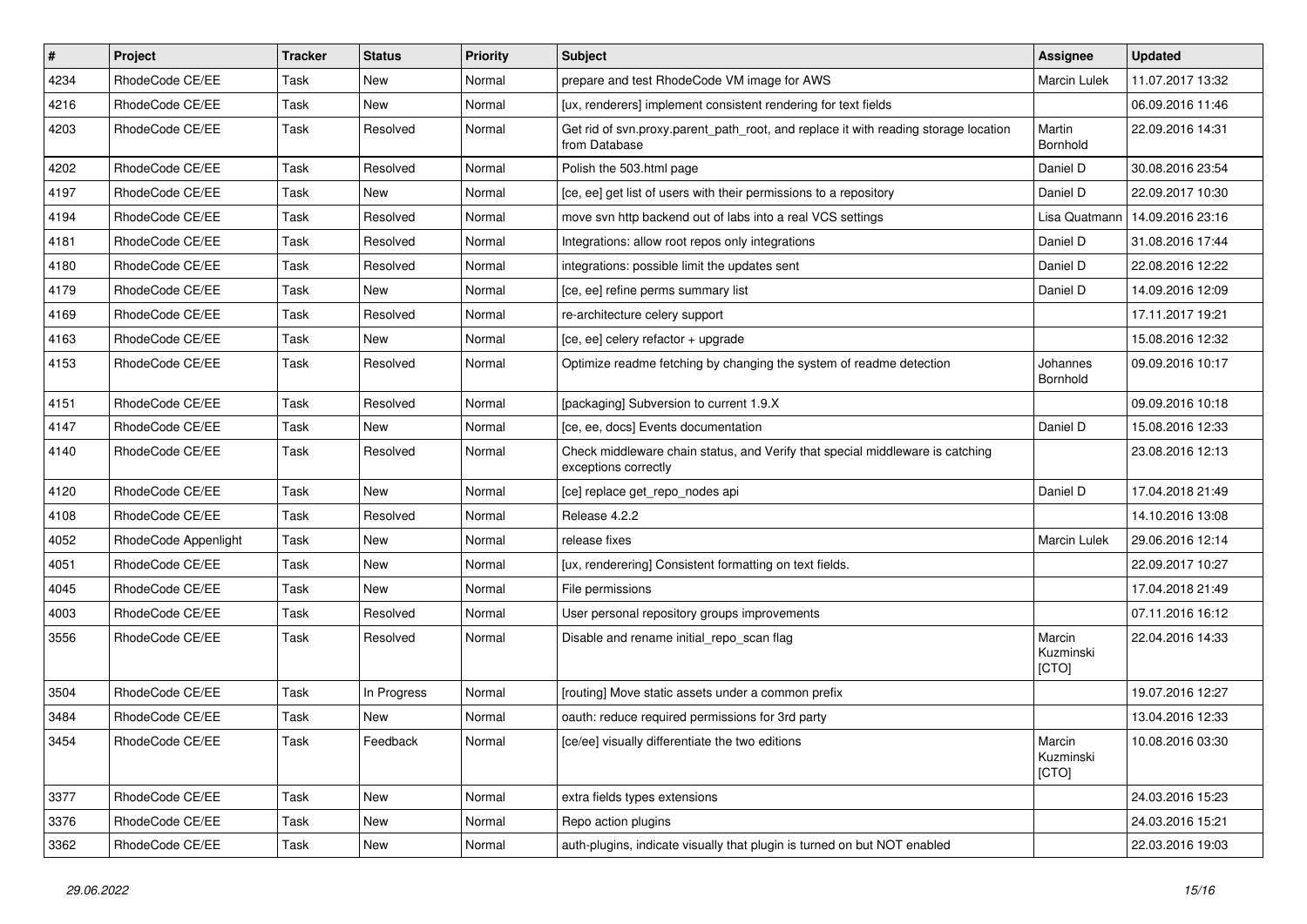| $\vert$ # | Project              | <b>Tracker</b> | <b>Status</b> | Priority | Subject                                                                                               | <b>Assignee</b>              | <b>Updated</b>   |
|-----------|----------------------|----------------|---------------|----------|-------------------------------------------------------------------------------------------------------|------------------------------|------------------|
| 4234      | RhodeCode CE/EE      | Task           | New           | Normal   | prepare and test RhodeCode VM image for AWS                                                           | Marcin Lulek                 | 11.07.2017 13:32 |
| 4216      | RhodeCode CE/EE      | Task           | <b>New</b>    | Normal   | [ux, renderers] implement consistent rendering for text fields                                        |                              | 06.09.2016 11:46 |
| 4203      | RhodeCode CE/EE      | Task           | Resolved      | Normal   | Get rid of svn.proxy.parent path root, and replace it with reading storage location<br>from Database  | Martin<br>Bornhold           | 22.09.2016 14:31 |
| 4202      | RhodeCode CE/EE      | Task           | Resolved      | Normal   | Polish the 503.html page                                                                              | Daniel D                     | 30.08.2016 23:54 |
| 4197      | RhodeCode CE/EE      | Task           | <b>New</b>    | Normal   | [ce, ee] get list of users with their permissions to a repository                                     | Daniel D                     | 22.09.2017 10:30 |
| 4194      | RhodeCode CE/EE      | Task           | Resolved      | Normal   | move svn http backend out of labs into a real VCS settings                                            | Lisa Quatmann                | 14.09.2016 23:16 |
| 4181      | RhodeCode CE/EE      | Task           | Resolved      | Normal   | Integrations: allow root repos only integrations                                                      | Daniel D                     | 31.08.2016 17:44 |
| 4180      | RhodeCode CE/EE      | Task           | Resolved      | Normal   | integrations: possible limit the updates sent                                                         | Daniel D                     | 22.08.2016 12:22 |
| 4179      | RhodeCode CE/EE      | Task           | <b>New</b>    | Normal   | [ce, ee] refine perms summary list                                                                    | Daniel D                     | 14.09.2016 12:09 |
| 4169      | RhodeCode CE/EE      | Task           | Resolved      | Normal   | re-architecture celery support                                                                        |                              | 17.11.2017 19:21 |
| 4163      | RhodeCode CE/EE      | Task           | New           | Normal   | [ce, ee] celery refactor + upgrade                                                                    |                              | 15.08.2016 12:32 |
| 4153      | RhodeCode CE/EE      | Task           | Resolved      | Normal   | Optimize readme fetching by changing the system of readme detection                                   | Johannes<br><b>Bornhold</b>  | 09.09.2016 10:17 |
| 4151      | RhodeCode CE/EE      | Task           | Resolved      | Normal   | [packaging] Subversion to current 1.9.X                                                               |                              | 09.09.2016 10:18 |
| 4147      | RhodeCode CE/EE      | Task           | <b>New</b>    | Normal   | [ce, ee, docs] Events documentation                                                                   | Daniel D                     | 15.08.2016 12:33 |
| 4140      | RhodeCode CE/EE      | Task           | Resolved      | Normal   | Check middleware chain status, and Verify that special middleware is catching<br>exceptions correctly |                              | 23.08.2016 12:13 |
| 4120      | RhodeCode CE/EE      | Task           | New           | Normal   | [ce] replace get repo nodes api                                                                       | Daniel D                     | 17.04.2018 21:49 |
| 4108      | RhodeCode CE/EE      | Task           | Resolved      | Normal   | Release 4.2.2                                                                                         |                              | 14.10.2016 13:08 |
| 4052      | RhodeCode Appenlight | Task           | <b>New</b>    | Normal   | release fixes                                                                                         | <b>Marcin Lulek</b>          | 29.06.2016 12:14 |
| 4051      | RhodeCode CE/EE      | Task           | New           | Normal   | [ux, renderering] Consistent formatting on text fields.                                               |                              | 22.09.2017 10:27 |
| 4045      | RhodeCode CE/EE      | Task           | <b>New</b>    | Normal   | File permissions                                                                                      |                              | 17.04.2018 21:49 |
| 4003      | RhodeCode CE/EE      | Task           | Resolved      | Normal   | User personal repository groups improvements                                                          |                              | 07.11.2016 16:12 |
| 3556      | RhodeCode CE/EE      | Task           | Resolved      | Normal   | Disable and rename initial_repo_scan flag                                                             | Marcin<br>Kuzminski<br>[CTO] | 22.04.2016 14:33 |
| 3504      | RhodeCode CE/EE      | Task           | In Progress   | Normal   | [routing] Move static assets under a common prefix                                                    |                              | 19.07.2016 12:27 |
| 3484      | RhodeCode CE/EE      | Task           | <b>New</b>    | Normal   | oauth: reduce required permissions for 3rd party                                                      |                              | 13.04.2016 12:33 |
| 3454      | RhodeCode CE/EE      | Task           | Feedback      | Normal   | [ce/ee] visually differentiate the two editions                                                       | Marcin<br>Kuzminski<br>[CTO] | 10.08.2016 03:30 |
| 3377      | RhodeCode CE/EE      | Task           | New           | Normal   | extra fields types extensions                                                                         |                              | 24.03.2016 15:23 |
| 3376      | RhodeCode CE/EE      | Task           | New           | Normal   | Repo action plugins                                                                                   |                              | 24.03.2016 15:21 |
| 3362      | RhodeCode CE/EE      | Task           | New           | Normal   | auth-plugins, indicate visually that plugin is turned on but NOT enabled                              |                              | 22.03.2016 19:03 |